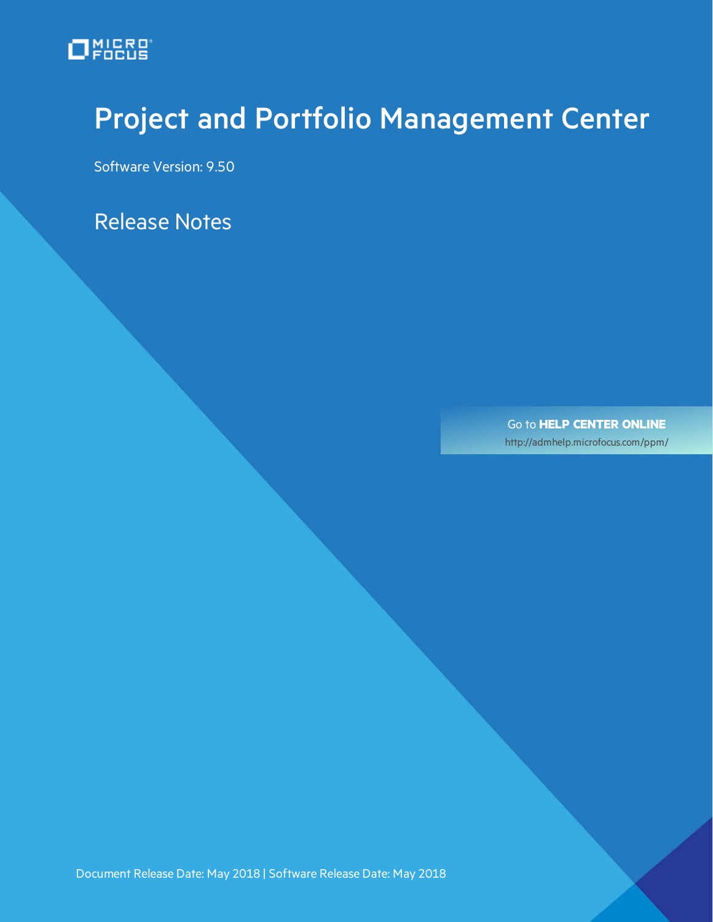

# <span id="page-0-0"></span>Project and Portfolio Management Center

Software Version: 9.50

Release Notes

Go to **HELP CENTER ONLINE** <http://admhelp.microfocus.com/ppm/>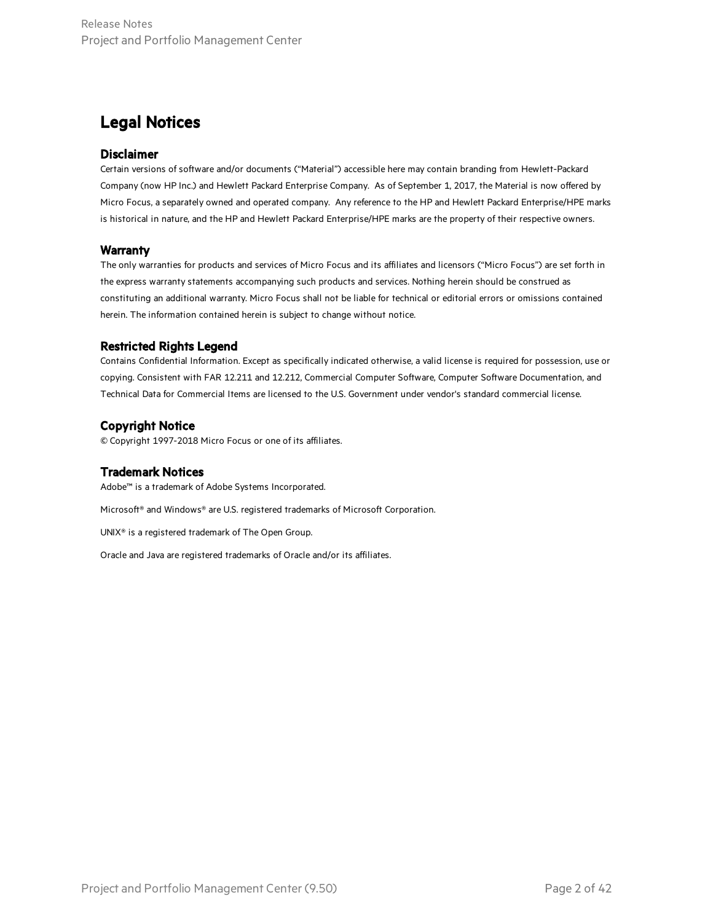### Legal Notices

#### Disclaimer

Certain versions of software and/or documents ("Material") accessible here may contain branding from Hewlett-Packard Company (now HP Inc.) and Hewlett Packard Enterprise Company. As of September 1, 2017, the Material is now offered by Micro Focus, a separately owned and operated company. Any reference to the HP and Hewlett Packard Enterprise/HPE marks is historical in nature, and the HP and Hewlett Packard Enterprise/HPE marks are the property of their respective owners.

#### **Warranty**

The only warranties for products and services of Micro Focus and its affiliates and licensors ("Micro Focus") are set forth in the express warranty statements accompanying such products and services. Nothing herein should be construed as constituting an additional warranty. Micro Focus shall not be liable for technical or editorial errors or omissions contained herein. The information contained herein is subject to change without notice.

#### Restricted Rights Legend

Contains Confidential Information. Except as specifically indicated otherwise, a valid license is required for possession, use or copying. Consistent with FAR 12.211 and 12.212, Commercial Computer Software, Computer Software Documentation, and Technical Data for Commercial Items are licensed to the U.S. Government under vendor's standard commercial license.

#### Copyright Notice

© Copyright 1997-2018 Micro Focus or one of its affiliates.

#### Trademark Notices

Adobe™ is a trademark of Adobe Systems Incorporated.

Microsoft® and Windows® are U.S. registered trademarks of Microsoft Corporation.

UNIX® is a registered trademark of The Open Group.

Oracle and Java are registered trademarks of Oracle and/or its affiliates.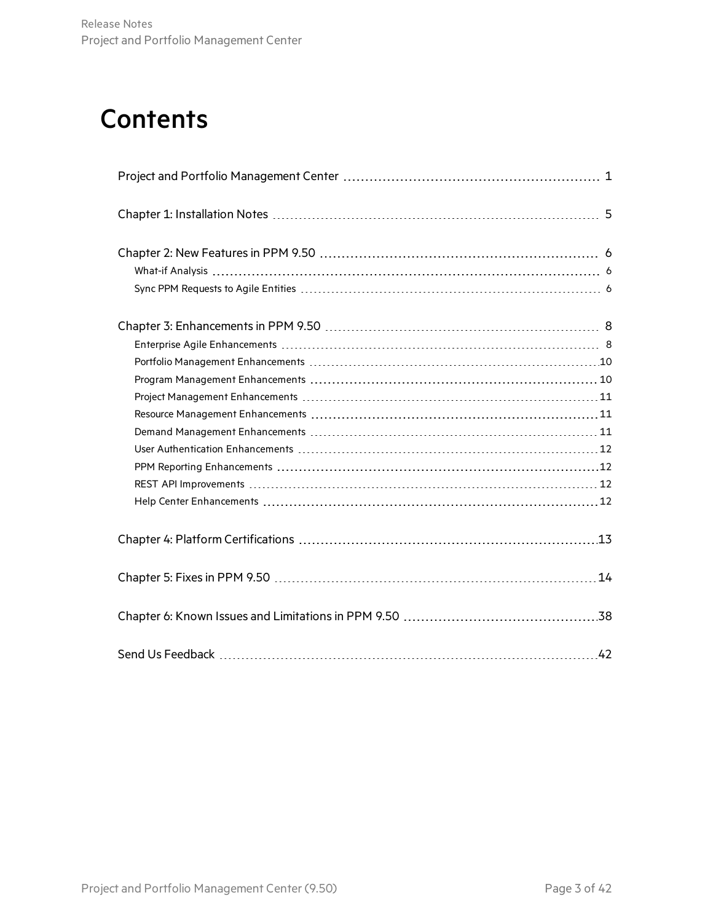# **Contents**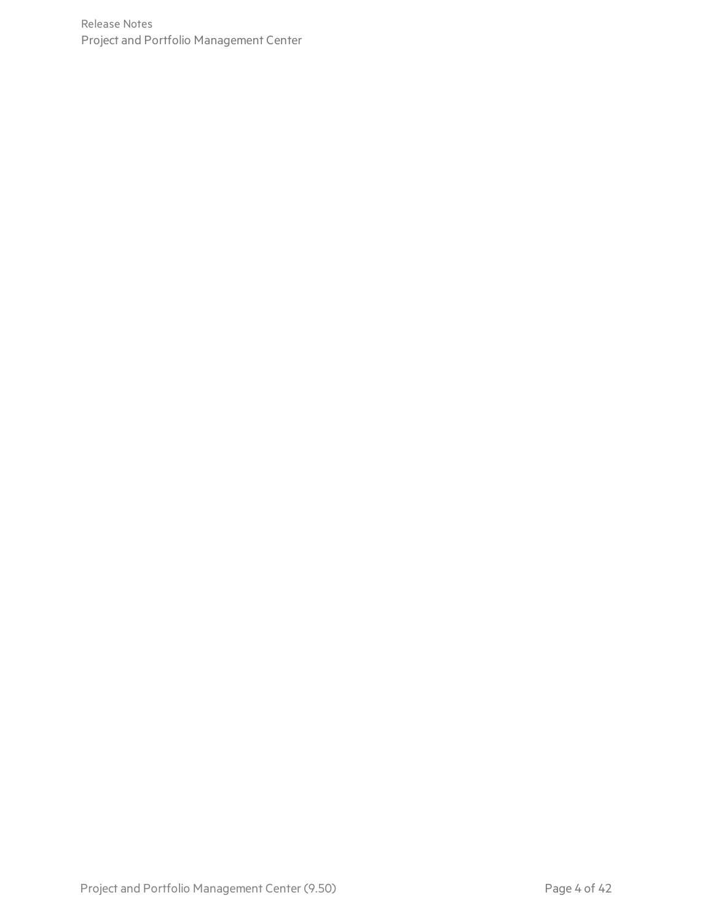Release Notes Project and Portfolio Management Center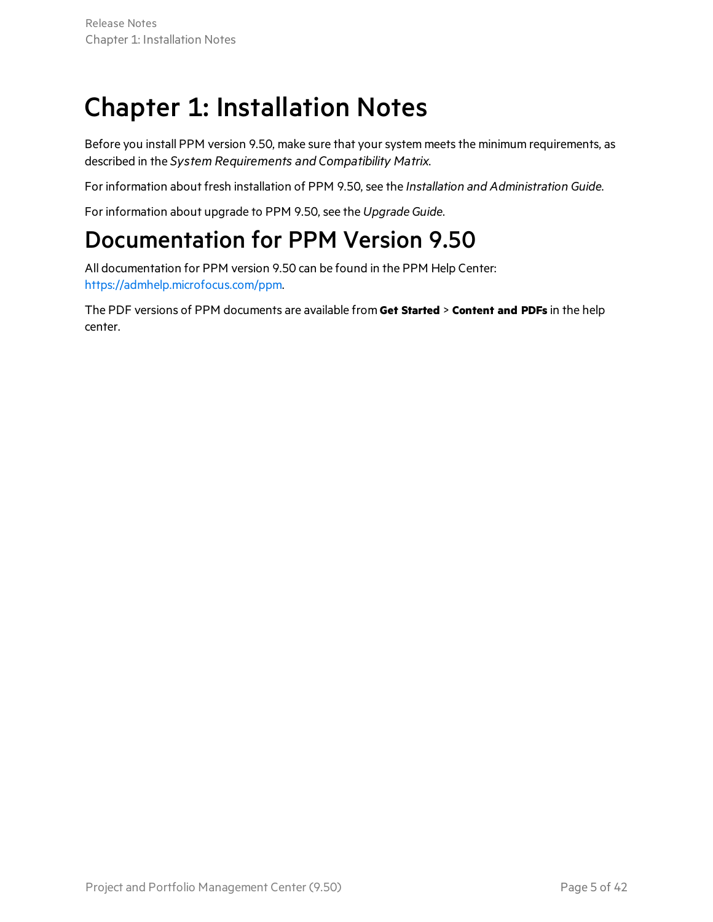# <span id="page-4-0"></span>Chapter 1: Installation Notes

Before you install PPM version 9.50, make sure that your system meets the minimum requirements, as described in the *System Requirements and Compatibility Matrix*.

For information about fresh installation of PPM 9.50, see the *Installation and Administration Guide*.

For information about upgrade to PPM 9.50, see the *Upgrade Guide*.

### Documentation for PPM Version 9.50

All documentation for PPM version 9.50 can be found in the PPM Help Center: <https://admhelp.microfocus.com/ppm>.

The PDF versions of PPM documents are available from **Get Started** > **Content and PDFs** in the help center.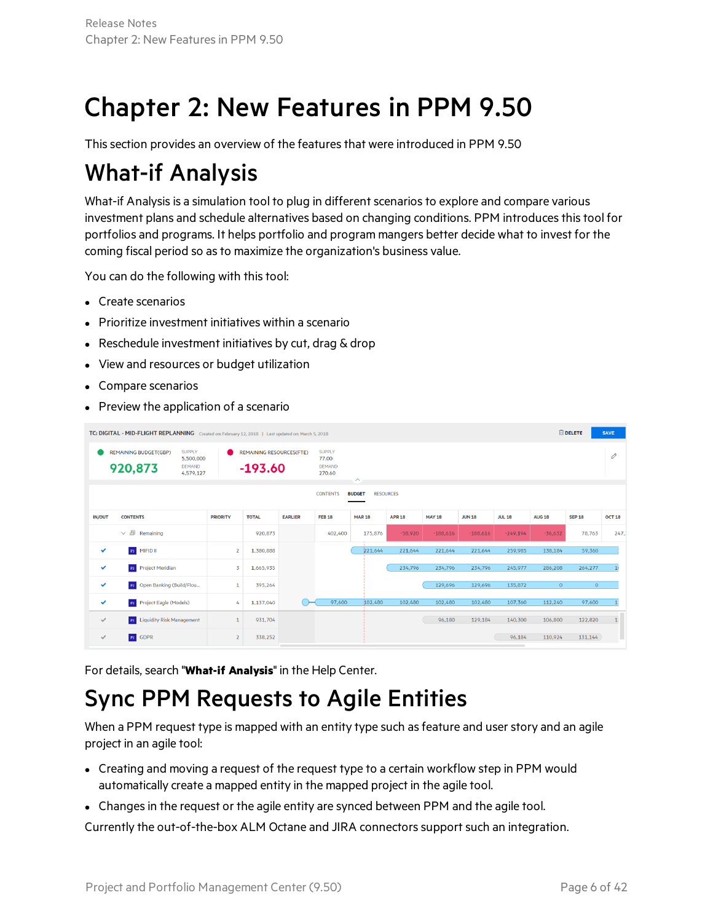# <span id="page-5-0"></span>Chapter 2: New Features in PPM 9.50

<span id="page-5-1"></span>This section provides an overview of the features that were introduced in PPM 9.50

## What-if Analysis

What-if Analysis is a simulation tool to plug in different scenarios to explore and compare various investment plans and schedule alternatives based on changing conditions. PPM introduces this tool for portfolios and programs. It helps portfolio and program mangers better decide what to invest for the coming fiscal period so asto maximize the organization's business value.

You can do the following with this tool:

- Create scenarios
- $\bullet$  Prioritize investment initiatives within a scenario
- $\bullet$  Reschedule investment initiatives by cut, drag & drop
- View and resources or budget utilization
- Compare scenarios
- Preview the application of a scenario

| <b>回 DELETE</b><br><b>SAVE</b><br>TC: DIGITAL - MID-FLIGHT REPLANNING Created on: February 12, 2018   Last updated on: March 5, 2018 |                                                                                                     |                 |                                              |                |                                                   |               |               |               |               |               |               |               |                   |
|--------------------------------------------------------------------------------------------------------------------------------------|-----------------------------------------------------------------------------------------------------|-----------------|----------------------------------------------|----------------|---------------------------------------------------|---------------|---------------|---------------|---------------|---------------|---------------|---------------|-------------------|
|                                                                                                                                      | <b>SUPPLY</b><br><b>REMAINING BUDGET(GBP)</b><br>5,500,000<br>920,873<br><b>DEMAND</b><br>4.579.127 |                 | <b>REMAINING RESOURCES(FTE)</b><br>$-193.60$ |                | <b>SUPPLY</b><br>77.00<br><b>DEMAND</b><br>270.60 | $\wedge$      |               |               |               |               |               |               | 0                 |
|                                                                                                                                      | <b>CONTENTS</b><br><b>RESOURCES</b><br><b>BUDGET</b>                                                |                 |                                              |                |                                                   |               |               |               |               |               |               |               |                   |
| <b>IN/OUT</b>                                                                                                                        | <b>CONTENTS</b>                                                                                     | <b>PRIORITY</b> | <b>TOTAL</b>                                 | <b>EARLIER</b> | <b>FEB 18</b>                                     | <b>MAR 18</b> | <b>APR 18</b> | <b>MAY 18</b> | <b>JUN 18</b> | <b>JUL 18</b> | <b>AUG 18</b> | <b>SEP 18</b> | OCT <sub>18</sub> |
|                                                                                                                                      | $\sim$ 8<br>Remaining                                                                               |                 | 920,873                                      |                | 402,400                                           | 175,876       | $-58,920$     | $-188,616$    | $-188,616$    | $-249.194$    | $-36,632$     | 78,763        | 247.              |
| ✔                                                                                                                                    | <b>PJ</b> MIFID II                                                                                  | $\overline{2}$  | 1,380,888                                    |                |                                                   | 221.644       | 221.644       | 221.644       | 221.644       | 259,985       | 138,184       | 59,360        |                   |
| ✓                                                                                                                                    | <b>PJ</b> Project Meridian                                                                          | 3               | 1,665,935                                    |                |                                                   |               | 234,796       | 234,796       | 234,796       | 245,977       | 286,208       | 264,277       | $\mathbf{1}$      |
| ✔                                                                                                                                    | <b>PJ</b><br>Open Banking (Build/Flou                                                               | $\mathbf{1}$    | 395,264                                      |                |                                                   |               |               | 129,696       | 129,696       | 135,872       | $\mathbf 0$   | $\mathbf 0$   |                   |
| ✔                                                                                                                                    | <b>PJ</b> Project Eagle (Models)                                                                    | 4               | 1,137,040                                    |                | 97,600                                            | 102.480       | 102,480       | 102,480       | 102,480       | 107,360       | 112,240       | 97,600        |                   |
| $\checkmark$                                                                                                                         | <b>Liquidity Risk Management</b><br>PJ                                                              | $\mathbf{1}$    | 931.704                                      |                |                                                   |               |               | 96,180        | 129,184       | 140,300       | 106,800       | 122,820       | $\mathbf{1}$      |
| $\checkmark$                                                                                                                         | PJ.<br><b>GDPR</b>                                                                                  | $\overline{2}$  | 338,252                                      |                |                                                   |               |               |               |               | 96,184        | 110,924       | 131,144       |                   |

<span id="page-5-2"></span>For details, search "**What-if Analysis**" in the Help Center.

### Sync PPM Requests to Agile Entities

When a PPM request type is mapped with an entity type such as feature and user story and an agile project in an agile tool:

- Creating and moving a request of the request type to a certain workflow step in PPM would automatically create a mapped entity in the mapped project in the agile tool.
- Changes in the request or the agile entity are synced between PPM and the agile tool.

Currently the out-of-the-box ALM Octane and JIRA connectors support such an integration.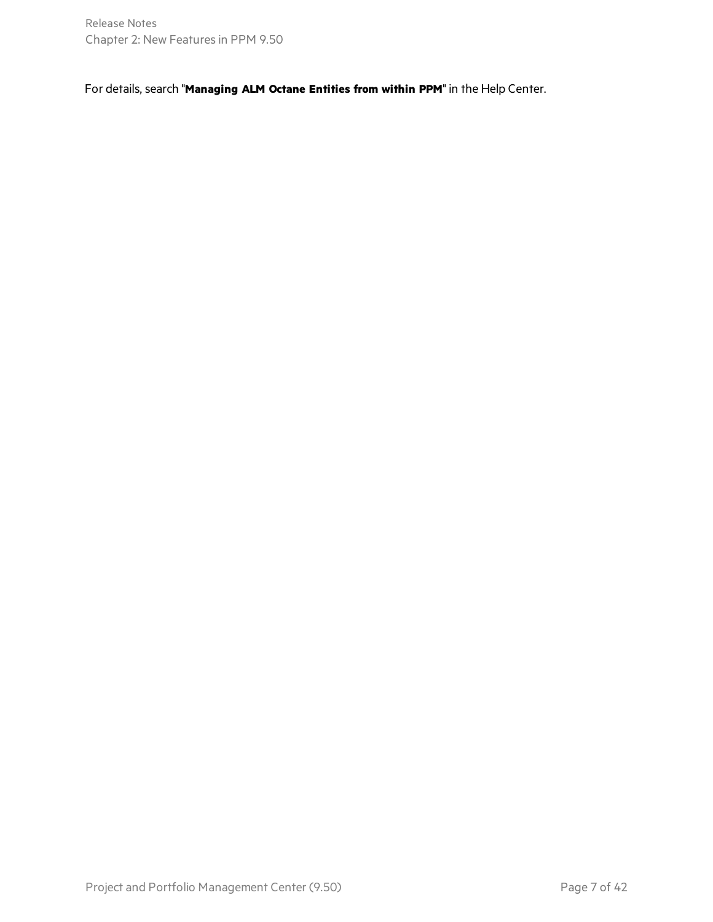Release Notes Chapter 2: New Features in PPM 9.50

For details, search "**Managing ALM Octane Entities from within PPM**" in the Help Center.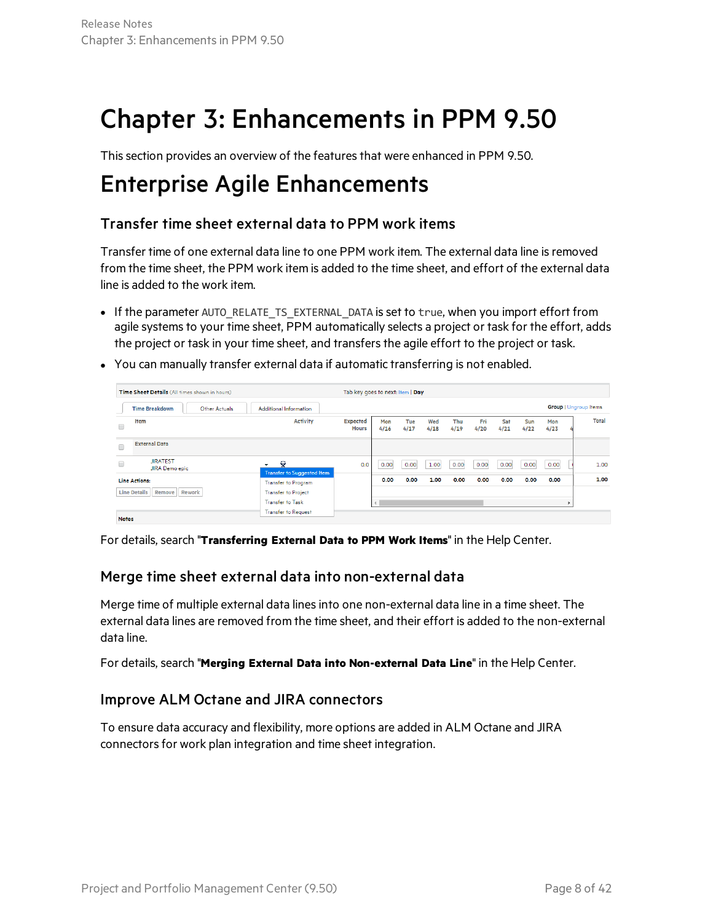# <span id="page-7-0"></span>Chapter 3: Enhancements in PPM 9.50

<span id="page-7-1"></span>This section provides an overview of the features that were enhanced in PPM 9.50.

### Enterprise Agile Enhancements

### Transfer time sheet external data to PPM work items

Transfer time of one external data line to one PPM work item. The external data line isremoved from the time sheet, the PPM work item is added to the time sheet, and effort of the external data line is added to the work item.

- If the parameter AUTO\_RELATE\_TS\_EXTERNAL\_DATA is set to true, when you import effort from agile systems to your time sheet, PPM automatically selects a project or task for the effort, adds the project or task in your time sheet, and transfers the agile effort to the project or task.
- You can manually transfer external data if automatic transferring is not enabled.



For details, search "**Transferring External Data to PPM Work Items**" in the Help Center.

### Merge time sheet external data into non-external data

Merge time of multiple external data lines into one non-external data line in a time sheet. The external data lines are removed from the time sheet, and their effort is added to the non-external data line.

For details, search "**Merging External Data into Non-external Data Line**" in the Help Center.

#### Improve ALM Octane and JIRA connectors

To ensure data accuracy and flexibility, more options are added in ALM Octane and JIRA connectors for work plan integration and time sheet integration.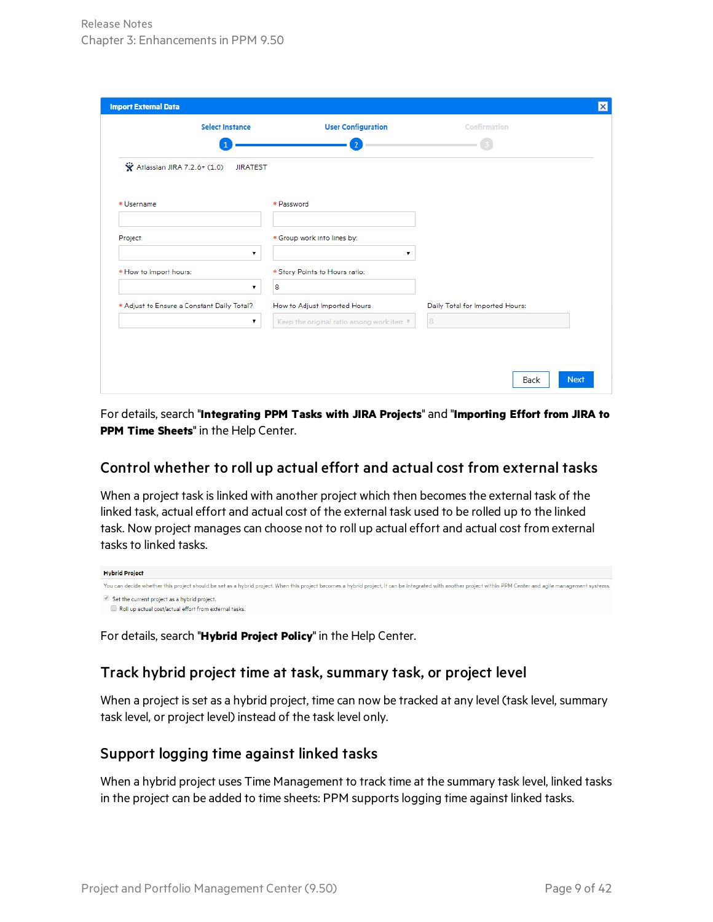| <b>Import External Data</b>                      |                                           |                                 |
|--------------------------------------------------|-------------------------------------------|---------------------------------|
| <b>Select Instance</b>                           | <b>User Configuration</b>                 | Confirmation                    |
|                                                  | $\overline{2}$                            |                                 |
| X Atlassian JIRA 7.2.6+ (1.0)<br><b>JIRATEST</b> |                                           |                                 |
| * Username                                       | * Password                                |                                 |
|                                                  |                                           |                                 |
| Project<br>۷.                                    | * Group work into lines by:<br>۷.         |                                 |
| * How to import hours:                           | * Story Points to Hours ratio:            |                                 |
| ۷.                                               | 8                                         |                                 |
| * Adjust to Ensure a Constant Daily Total?       | How to Adjust Imported Hours              | Daily Total for Imported Hours: |
| ▼                                                | Keep the original ratio among work item ▼ | 8                               |
|                                                  |                                           |                                 |
|                                                  |                                           |                                 |
|                                                  |                                           | <b>Next</b><br>Back             |

For details, search "**Integrating PPM Tasks with JIRA Projects**" and "**Importing Effort from JIRA to PPM Time Sheets**" in the Help Center.

### Control whether to roll up actual effort and actual cost from external tasks

When a project task is linked with another project which then becomes the external task of the linked task, actual effort and actual cost of the external task used to be rolled up to the linked task. Now project manages can choose not to roll up actual effort and actual cost from external tasks to linked tasks.

| <b>Hybrid Project</b>                                                                                                                                                                                        |
|--------------------------------------------------------------------------------------------------------------------------------------------------------------------------------------------------------------|
| You can decide whether this project should be set as a hybrid project. When this project becomes a hybrid project, it can be integrated with another project within PPM Center and agile management systems. |
| Set the current project as a hybrid project.<br>Roll up actual cost/actual effort from external tasks.                                                                                                       |

For details, search "**Hybrid Project Policy**" in the Help Center.

#### Track hybrid project time at task, summary task, or project level

When a project is set as a hybrid project, time can now be tracked at any level (task level, summary task level, or project level) instead of the task level only.

#### Support logging time against linked tasks

When a hybrid project uses Time Management to track time at the summary task level, linked tasks in the project can be added to time sheets: PPM supportslogging time against linked tasks.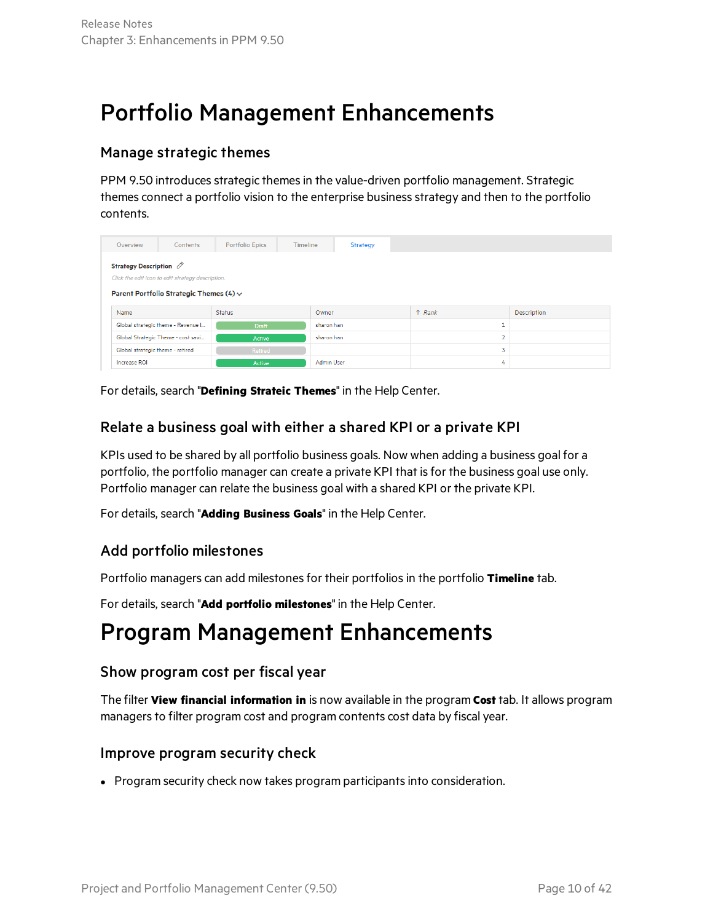## <span id="page-9-0"></span>Portfolio Management Enhancements

### Manage strategic themes

PPM 9.50 introduces strategic themes in the value-driven portfolio management. Strategic themes connect a portfolio vision to the enterprise business strategy and then to the portfolio contents.

| Overview                         | <b>Contents</b>                                   | <b>Portfolio Epics</b> | Timeline   | Strategy |                 |                |                    |
|----------------------------------|---------------------------------------------------|------------------------|------------|----------|-----------------|----------------|--------------------|
|                                  | Strategy Description $\oslash$                    |                        |            |          |                 |                |                    |
|                                  | Click the edit icon to edit strategy description. |                        |            |          |                 |                |                    |
|                                  | Parent Portfolio Strategic Themes (4) $\vee$      |                        |            |          |                 |                |                    |
| Name                             |                                                   | <b>Status</b>          | Owner      |          | $\uparrow$ Rank |                | <b>Description</b> |
|                                  | Global strategic theme - Revenue I                | <b>Draft</b>           | sharon han |          |                 |                |                    |
|                                  | Global Strategic Theme - cost savi                | Active                 | sharon han |          |                 | $\overline{2}$ |                    |
| Global strategic theme - retired |                                                   | Retired                |            |          |                 | 3              |                    |
| Increase ROI                     |                                                   | Active                 | Admin User |          |                 | 4              |                    |

For details, search "**Defining Strateic Themes**" in the Help Center.

### Relate a business goal with either a shared KPI or a private KPI

KPIs used to be shared by all portfolio business goals. Now when adding a business goal for a portfolio, the portfolio manager can create a private KPI that isfor the business goal use only. Portfolio manager can relate the business goal with a shared KPI or the private KPI.

For details, search "**Adding Business Goals**" in the Help Center.

### Add portfolio milestones

Portfolio managers can add milestonesfor their portfoliosin the portfolio **Timeline** tab.

<span id="page-9-1"></span>For details, search "**Add portfolio milestones**" in the Help Center.

### Program Management Enhancements

#### Show program cost per fiscal year

The filter **View financial information in** is now available in the program **Cost** tab. It allows program managers to filter program cost and program contents cost data by fiscal year.

#### Improve program security check

• Program security check now takes program participants into consideration.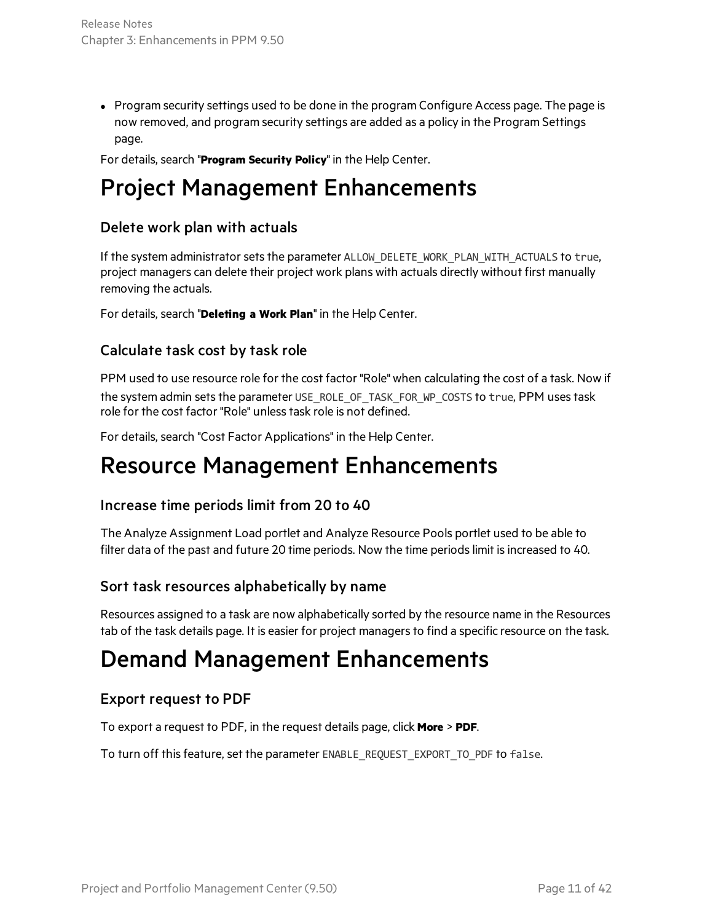• Program security settings used to be done in the program Configure Access page. The page is now removed, and program security settings are added as a policy in the Program Settings page.

<span id="page-10-0"></span>For details, search "**Program Security Policy**" in the Help Center.

### Project Management Enhancements

#### Delete work plan with actuals

If the system administrator sets the parameter ALLOW\_DELETE\_WORK\_PLAN\_WITH\_ACTUALS to true, project managers can delete their project work plans with actuals directly without first manually removing the actuals.

For details, search "**Deleting a Work Plan**" in the Help Center.

#### Calculate task cost by task role

PPM used to use resource role for the cost factor "Role" when calculating the cost of a task. Now if the system admin sets the parameter USE\_ROLE\_OF\_TASK\_FOR\_WP\_COSTS to true, PPM uses task role for the cost factor "Role" unless task role is not defined.

<span id="page-10-1"></span>For details, search "Cost Factor Applications" in the Help Center.

### Resource Management Enhancements

#### Increase time periods limit from 20 to 40

The Analyze Assignment Load portlet and Analyze Resource Pools portlet used to be able to filter data of the past and future 20 time periods. Now the time periods limit is increased to 40.

### Sort task resources alphabetically by name

Resources assigned to a task are now alphabetically sorted by the resource name in the Resources tab of the task details page. It is easier for project managersto find a specific resource on the task.

### <span id="page-10-2"></span>Demand Management Enhancements

### Export request to PDF

To export a request to PDF, in the request details page, click **More** > **PDF**.

To turn off thisfeature, set the parameter ENABLE\_REQUEST\_EXPORT\_TO\_PDF to false.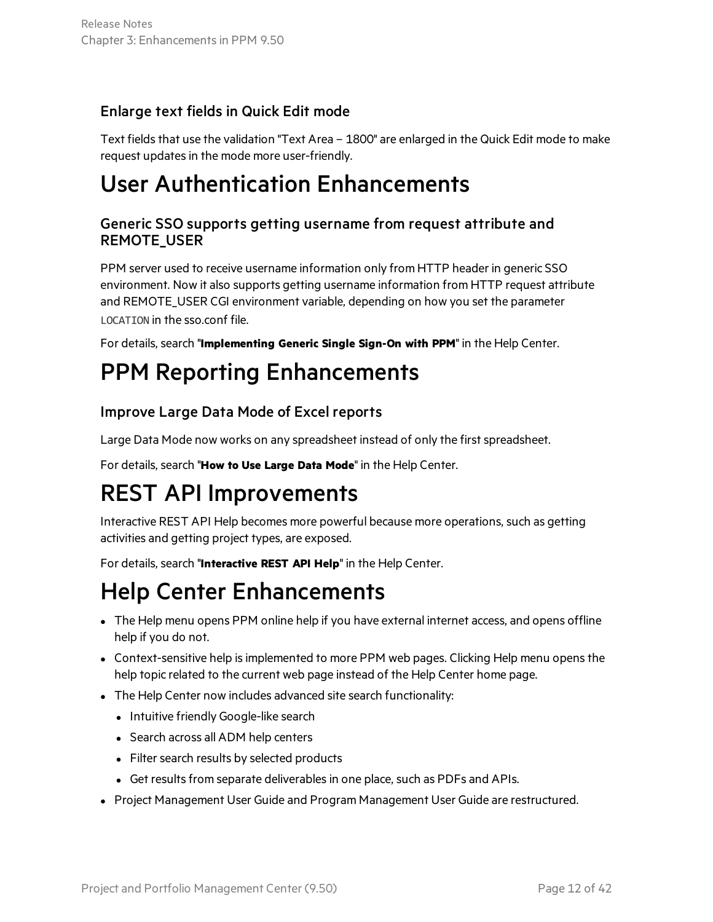### Enlarge text fields in Quick Edit mode

Text fields that use the validation "Text Area - 1800" are enlarged in the Quick Edit mode to make request updates in the mode more user-friendly.

### <span id="page-11-0"></span>User Authentication Enhancements

### Generic SSO supports getting username from request attribute and REMOTE\_USER

PPM server used to receive username information only from HTTP header in generic SSO environment. Now it also supports getting username information from HTTP request attribute and REMOTE\_USER CGI environment variable, depending on how you set the parameter LOCATION in the sso.conf file.

<span id="page-11-1"></span>For details, search "**Implementing Generic Single Sign-On with PPM**" in the Help Center.

### PPM Reporting Enhancements

### Improve Large Data Mode of Excel reports

Large Data Mode now works on any spreadsheet instead of only the first spreadsheet.

<span id="page-11-2"></span>For details, search "**How to Use Large Data Mode**" in the Help Center.

## REST API Improvements

Interactive REST API Help becomes more powerful because more operations, such as getting activities and getting project types, are exposed.

<span id="page-11-3"></span>For details, search "**Interactive REST API Help**" in the Help Center.

## Help Center Enhancements

- The Help menu opens PPM online help if you have external internet access, and opens offline help if you do not.
- Context-sensitive help is implemented to more PPM web pages. Clicking Help menu opens the help topic related to the current web page instead of the Help Center home page.
- The Help Center now includes advanced site search functionality:
	- Intuitive friendly Google-like search
	- Search across all ADM help centers
	- Filter search results by selected products
	- Get results from separate deliverables in one place, such as PDFs and APIs.
- Project Management User Guide and Program Management User Guide are restructured.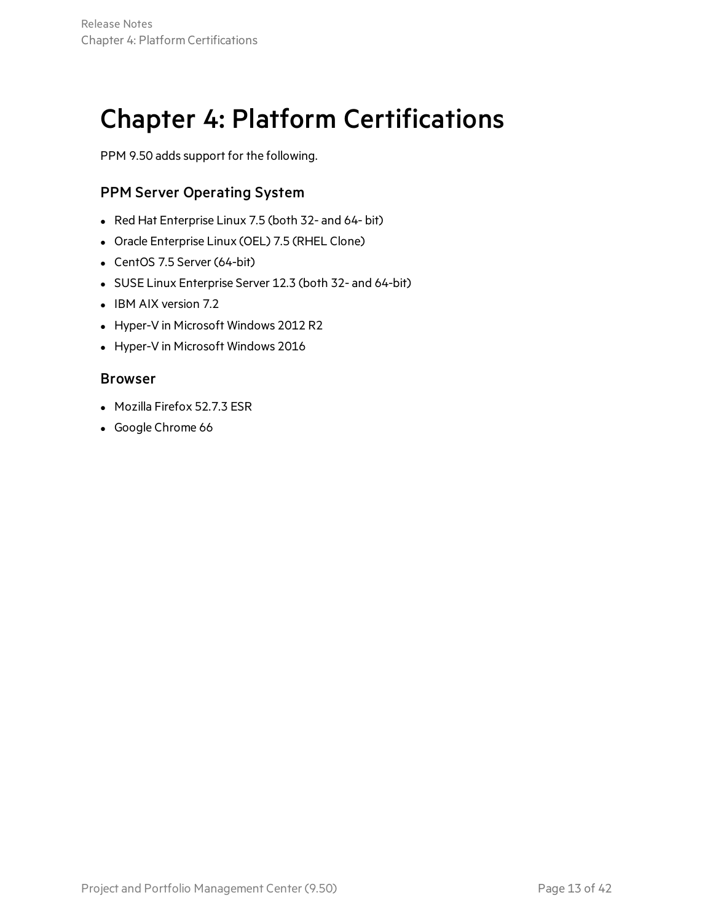# <span id="page-12-0"></span>Chapter 4: Platform Certifications

PPM 9.50 adds support for the following.

### PPM Server Operating System

- Red Hat Enterprise Linux 7.5 (both 32- and 64- bit)
- Oracle Enterprise Linux (OEL) 7.5 (RHEL Clone)
- $\bullet$  CentOS 7.5 Server (64-bit)
- SUSE Linux Enterprise Server 12.3 (both 32- and 64-bit)
- IBM AIX version 7.2
- Hyper-V in Microsoft Windows 2012 R2
- Hyper-V in Microsoft Windows 2016

#### Browser

- $\bullet$  Mozilla Firefox 52.7.3 ESR
- Google Chrome 66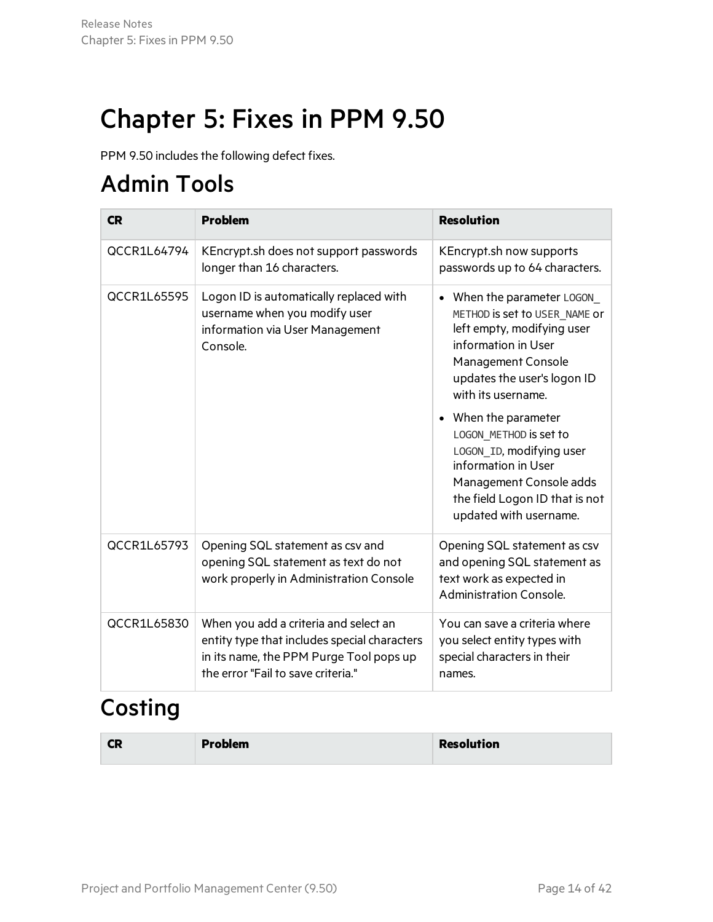# <span id="page-13-0"></span>Chapter 5: Fixes in PPM 9.50

PPM 9.50 includes the following defect fixes.

## Admin Tools

| <b>CR</b>   | <b>Problem</b>                                                                                                                                                         | <b>Resolution</b>                                                                                                                                                                           |
|-------------|------------------------------------------------------------------------------------------------------------------------------------------------------------------------|---------------------------------------------------------------------------------------------------------------------------------------------------------------------------------------------|
| QCCR1L64794 | KEncrypt.sh does not support passwords<br>longer than 16 characters.                                                                                                   | KEncrypt.sh now supports<br>passwords up to 64 characters.                                                                                                                                  |
| QCCR1L65595 | Logon ID is automatically replaced with<br>username when you modify user<br>information via User Management<br>Console.                                                | • When the parameter LOGON<br>METHOD is set to USER NAME or<br>left empty, modifying user<br>information in User<br>Management Console<br>updates the user's logon ID<br>with its username. |
|             |                                                                                                                                                                        | • When the parameter<br>LOGON METHOD is set to<br>LOGON ID, modifying user<br>information in User<br>Management Console adds<br>the field Logon ID that is not<br>updated with username.    |
| QCCR1L65793 | Opening SQL statement as csv and<br>opening SQL statement as text do not<br>work properly in Administration Console                                                    | Opening SQL statement as csv<br>and opening SQL statement as<br>text work as expected in<br><b>Administration Console.</b>                                                                  |
| QCCR1L65830 | When you add a criteria and select an<br>entity type that includes special characters<br>in its name, the PPM Purge Tool pops up<br>the error "Fail to save criteria." | You can save a criteria where<br>you select entity types with<br>special characters in their<br>names.                                                                                      |

### **Costing**

| <b>CR</b> | <b>Problem</b> | <b>Resolution</b> |
|-----------|----------------|-------------------|
|           |                |                   |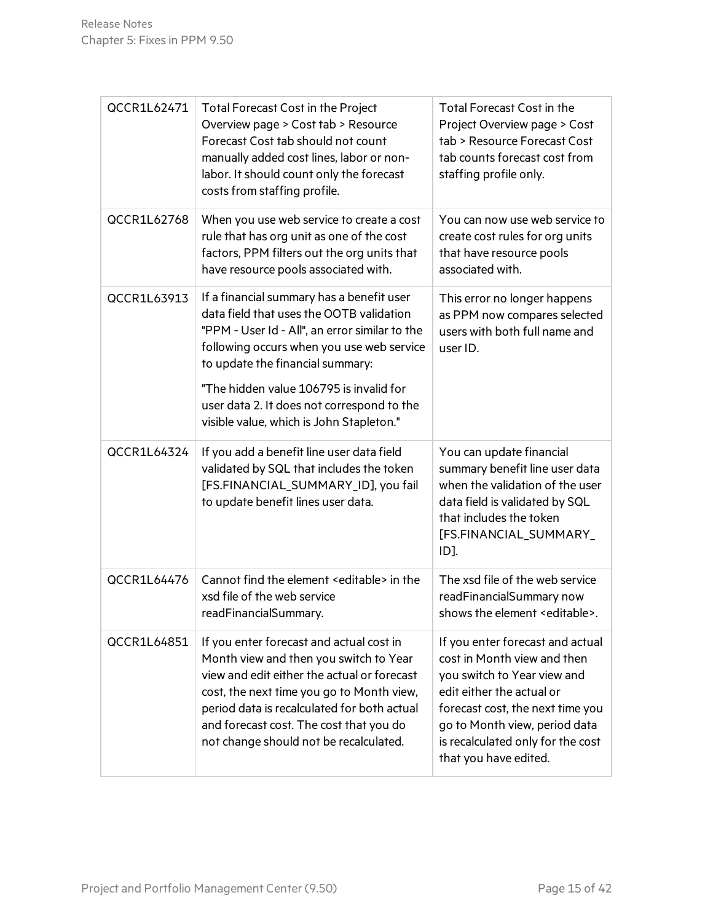| QCCR1L62471        | Total Forecast Cost in the Project<br>Overview page > Cost tab > Resource<br>Forecast Cost tab should not count<br>manually added cost lines, labor or non-<br>labor. It should count only the forecast<br>costs from staffing profile.                                                                                                                       | Total Forecast Cost in the<br>Project Overview page > Cost<br>tab > Resource Forecast Cost<br>tab counts forecast cost from<br>staffing profile only.                                                                                                          |
|--------------------|---------------------------------------------------------------------------------------------------------------------------------------------------------------------------------------------------------------------------------------------------------------------------------------------------------------------------------------------------------------|----------------------------------------------------------------------------------------------------------------------------------------------------------------------------------------------------------------------------------------------------------------|
| <b>QCCR1L62768</b> | When you use web service to create a cost<br>rule that has org unit as one of the cost<br>factors, PPM filters out the org units that<br>have resource pools associated with.                                                                                                                                                                                 | You can now use web service to<br>create cost rules for org units<br>that have resource pools<br>associated with.                                                                                                                                              |
| QCCR1L63913        | If a financial summary has a benefit user<br>data field that uses the OOTB validation<br>"PPM - User Id - All", an error similar to the<br>following occurs when you use web service<br>to update the financial summary:<br>"The hidden value 106795 is invalid for<br>user data 2. It does not correspond to the<br>visible value, which is John Stapleton." | This error no longer happens<br>as PPM now compares selected<br>users with both full name and<br>user ID.                                                                                                                                                      |
| QCCR1L64324        | If you add a benefit line user data field<br>validated by SQL that includes the token<br>[FS.FINANCIAL_SUMMARY_ID], you fail<br>to update benefit lines user data.                                                                                                                                                                                            | You can update financial<br>summary benefit line user data<br>when the validation of the user<br>data field is validated by SQL<br>that includes the token<br>[FS.FINANCIAL_SUMMARY_<br>ID].                                                                   |
| QCCR1L64476        | Cannot find the element <editable> in the<br/>xsd file of the web service<br/>readFinancialSummary.</editable>                                                                                                                                                                                                                                                | The xsd file of the web service<br>readFinancialSummary now<br>shows the element <editable></editable>                                                                                                                                                         |
| QCCR1L64851        | If you enter forecast and actual cost in<br>Month view and then you switch to Year<br>view and edit either the actual or forecast<br>cost, the next time you go to Month view,<br>period data is recalculated for both actual<br>and forecast cost. The cost that you do<br>not change should not be recalculated.                                            | If you enter forecast and actual<br>cost in Month view and then<br>you switch to Year view and<br>edit either the actual or<br>forecast cost, the next time you<br>go to Month view, period data<br>is recalculated only for the cost<br>that you have edited. |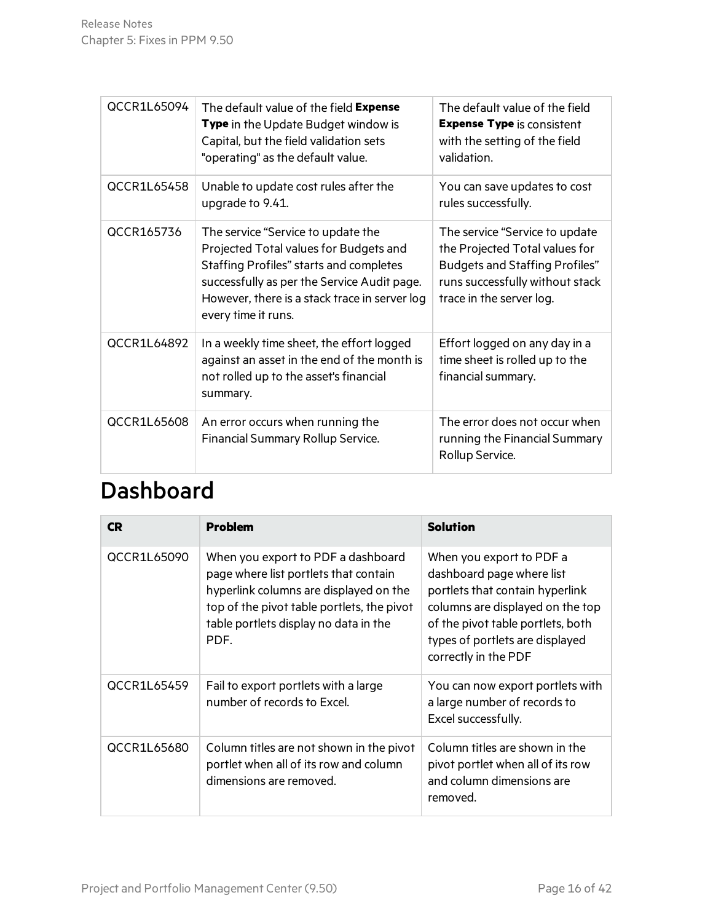| QCCR1L65094 | The default value of the field Expense<br><b>Type</b> in the Update Budget window is<br>Capital, but the field validation sets<br>"operating" as the default value.                                                                            | The default value of the field<br><b>Expense Type is consistent</b><br>with the setting of the field<br>validation.                                                       |
|-------------|------------------------------------------------------------------------------------------------------------------------------------------------------------------------------------------------------------------------------------------------|---------------------------------------------------------------------------------------------------------------------------------------------------------------------------|
| QCCR1L65458 | Unable to update cost rules after the<br>upgrade to 9.41.                                                                                                                                                                                      | You can save updates to cost<br>rules successfully.                                                                                                                       |
| QCCR165736  | The service "Service to update the<br>Projected Total values for Budgets and<br>Staffing Profiles" starts and completes<br>successfully as per the Service Audit page.<br>However, there is a stack trace in server log<br>every time it runs. | The service "Service to update"<br>the Projected Total values for<br><b>Budgets and Staffing Profiles"</b><br>runs successfully without stack<br>trace in the server log. |
| QCCR1L64892 | In a weekly time sheet, the effort logged<br>against an asset in the end of the month is<br>not rolled up to the asset's financial<br>summary.                                                                                                 | Effort logged on any day in a<br>time sheet is rolled up to the<br>financial summary.                                                                                     |
| QCCR1L65608 | An error occurs when running the<br><b>Financial Summary Rollup Service.</b>                                                                                                                                                                   | The error does not occur when<br>running the Financial Summary<br>Rollup Service.                                                                                         |

### Dashboard

| <b>CR</b>   | Problem                                                                                                                                                                                                              | <b>Solution</b>                                                                                                                                                                                                              |
|-------------|----------------------------------------------------------------------------------------------------------------------------------------------------------------------------------------------------------------------|------------------------------------------------------------------------------------------------------------------------------------------------------------------------------------------------------------------------------|
| QCCR1L65090 | When you export to PDF a dashboard<br>page where list portlets that contain<br>hyperlink columns are displayed on the<br>top of the pivot table portlets, the pivot<br>table portlets display no data in the<br>PDF. | When you export to PDF a<br>dashboard page where list<br>portlets that contain hyperlink<br>columns are displayed on the top<br>of the pivot table portlets, both<br>types of portlets are displayed<br>correctly in the PDF |
| QCCR1L65459 | Fail to export portlets with a large<br>number of records to Excel.                                                                                                                                                  | You can now export portlets with<br>a large number of records to<br>Excel successfully.                                                                                                                                      |
| QCCR1L65680 | Column titles are not shown in the pivot<br>portlet when all of its row and column<br>dimensions are removed.                                                                                                        | Column titles are shown in the<br>pivot portlet when all of its row<br>and column dimensions are<br>removed.                                                                                                                 |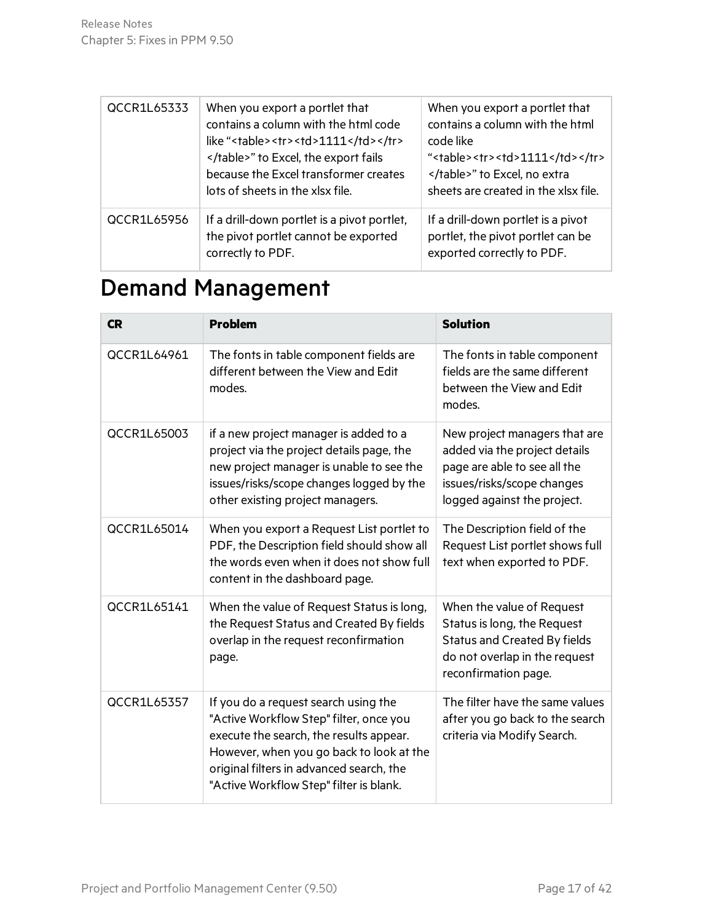| QCCR1L65333 | When you export a portlet that<br>contains a column with the html code<br>like " <table><tr><td>1111</td></tr><br/></table> " to Excel, the export fails<br>because the Excel transformer creates<br>lots of sheets in the xlsx file. | 1111                                                                                                  | When you export a portlet that<br>contains a column with the html<br>code like<br>" <table><tr><td>1111</td></tr><br/></table> " to Excel, no extra<br>sheets are created in the xlsx file. | 1111 |
|-------------|---------------------------------------------------------------------------------------------------------------------------------------------------------------------------------------------------------------------------------------|-------------------------------------------------------------------------------------------------------|---------------------------------------------------------------------------------------------------------------------------------------------------------------------------------------------|------|
| 1111        |                                                                                                                                                                                                                                       |                                                                                                       |                                                                                                                                                                                             |      |
| 1111        |                                                                                                                                                                                                                                       |                                                                                                       |                                                                                                                                                                                             |      |
| QCCR1L65956 | If a drill-down portlet is a pivot portlet,<br>the pivot portlet cannot be exported<br>correctly to PDF.                                                                                                                              | If a drill-down portlet is a pivot<br>portlet, the pivot portlet can be<br>exported correctly to PDF. |                                                                                                                                                                                             |      |

## Demand Management

| <b>CR</b>   | <b>Problem</b>                                                                                                                                                                                                                                                | <b>Solution</b>                                                                                                                                             |
|-------------|---------------------------------------------------------------------------------------------------------------------------------------------------------------------------------------------------------------------------------------------------------------|-------------------------------------------------------------------------------------------------------------------------------------------------------------|
| QCCR1L64961 | The fonts in table component fields are<br>different between the View and Edit<br>modes.                                                                                                                                                                      | The fonts in table component<br>fields are the same different<br>between the View and Edit<br>modes.                                                        |
| QCCR1L65003 | if a new project manager is added to a<br>project via the project details page, the<br>new project manager is unable to see the<br>issues/risks/scope changes logged by the<br>other existing project managers.                                               | New project managers that are<br>added via the project details<br>page are able to see all the<br>issues/risks/scope changes<br>logged against the project. |
| QCCR1L65014 | When you export a Request List portlet to<br>PDF, the Description field should show all<br>the words even when it does not show full<br>content in the dashboard page.                                                                                        | The Description field of the<br>Request List portlet shows full<br>text when exported to PDF.                                                               |
| QCCR1L65141 | When the value of Request Status is long,<br>the Request Status and Created By fields<br>overlap in the request reconfirmation<br>page.                                                                                                                       | When the value of Request<br>Status is long, the Request<br><b>Status and Created By fields</b><br>do not overlap in the request<br>reconfirmation page.    |
| QCCR1L65357 | If you do a request search using the<br>"Active Workflow Step" filter, once you<br>execute the search, the results appear.<br>However, when you go back to look at the<br>original filters in advanced search, the<br>"Active Workflow Step" filter is blank. | The filter have the same values<br>after you go back to the search<br>criteria via Modify Search.                                                           |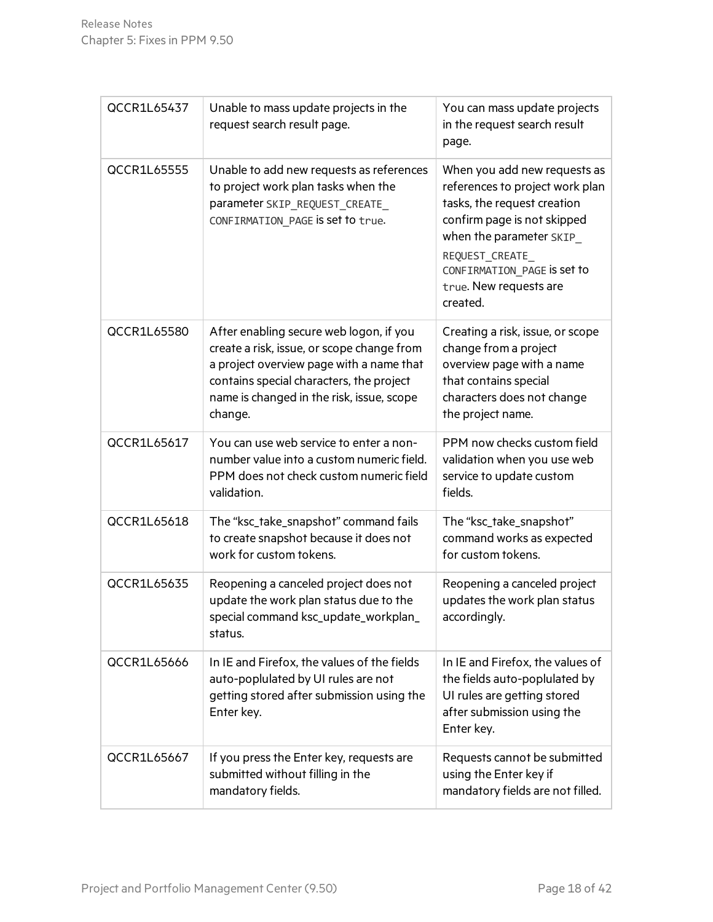| QCCR1L65437 | Unable to mass update projects in the<br>request search result page.                                                                                                                                                                  | You can mass update projects<br>in the request search result<br>page.                                                                                                                                                                           |
|-------------|---------------------------------------------------------------------------------------------------------------------------------------------------------------------------------------------------------------------------------------|-------------------------------------------------------------------------------------------------------------------------------------------------------------------------------------------------------------------------------------------------|
| QCCR1L65555 | Unable to add new requests as references<br>to project work plan tasks when the<br>parameter SKIP_REQUEST_CREATE_<br>CONFIRMATION PAGE is set to true.                                                                                | When you add new requests as<br>references to project work plan<br>tasks, the request creation<br>confirm page is not skipped<br>when the parameter SKIP<br>REQUEST CREATE<br>CONFIRMATION_PAGE is set to<br>true. New requests are<br>created. |
| QCCR1L65580 | After enabling secure web logon, if you<br>create a risk, issue, or scope change from<br>a project overview page with a name that<br>contains special characters, the project<br>name is changed in the risk, issue, scope<br>change. | Creating a risk, issue, or scope<br>change from a project<br>overview page with a name<br>that contains special<br>characters does not change<br>the project name.                                                                              |
| QCCR1L65617 | You can use web service to enter a non-<br>number value into a custom numeric field.<br>PPM does not check custom numeric field<br>validation.                                                                                        | PPM now checks custom field<br>validation when you use web<br>service to update custom<br>fields.                                                                                                                                               |
| QCCR1L65618 | The "ksc_take_snapshot" command fails<br>to create snapshot because it does not<br>work for custom tokens.                                                                                                                            | The "ksc_take_snapshot"<br>command works as expected<br>for custom tokens.                                                                                                                                                                      |
| QCCR1L65635 | Reopening a canceled project does not<br>update the work plan status due to the<br>special command ksc_update_workplan_<br>status.                                                                                                    | Reopening a canceled project<br>updates the work plan status<br>accordingly.                                                                                                                                                                    |
| QCCR1L65666 | In IE and Firefox, the values of the fields<br>auto-poplulated by UI rules are not<br>getting stored after submission using the<br>Enter key.                                                                                         | In IE and Firefox, the values of<br>the fields auto-poplulated by<br>UI rules are getting stored<br>after submission using the<br>Enter key.                                                                                                    |
| QCCR1L65667 | If you press the Enter key, requests are<br>submitted without filling in the<br>mandatory fields.                                                                                                                                     | Requests cannot be submitted<br>using the Enter key if<br>mandatory fields are not filled.                                                                                                                                                      |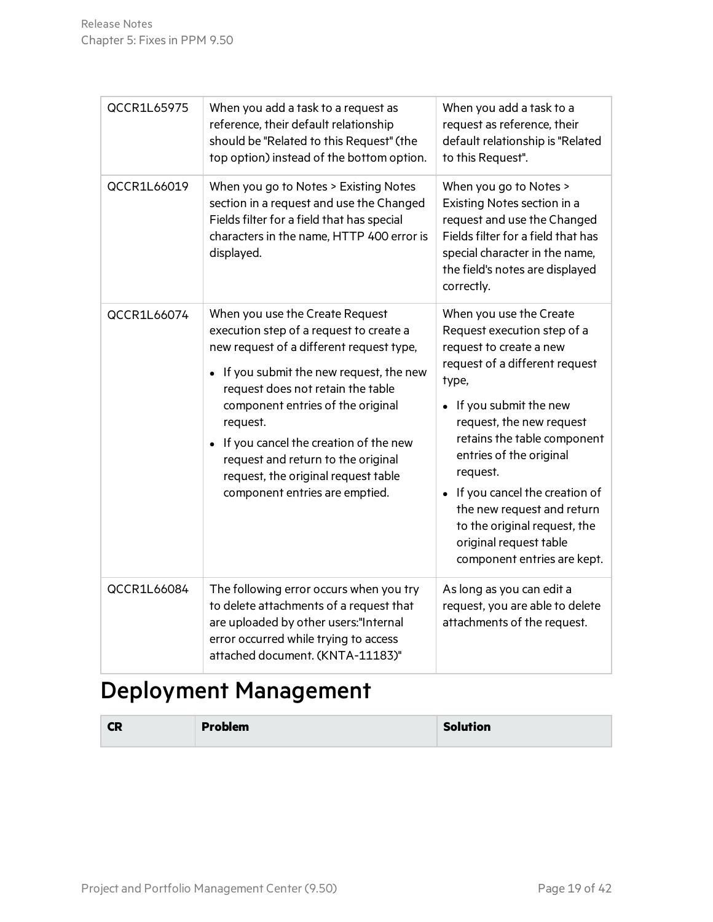| QCCR1L65975 | When you add a task to a request as<br>reference, their default relationship<br>should be "Related to this Request" (the<br>top option) instead of the bottom option.                                                                                                                                                                                                                                            | When you add a task to a<br>request as reference, their<br>default relationship is "Related<br>to this Request".                                                                                                                                                                                                                                                                                                               |
|-------------|------------------------------------------------------------------------------------------------------------------------------------------------------------------------------------------------------------------------------------------------------------------------------------------------------------------------------------------------------------------------------------------------------------------|--------------------------------------------------------------------------------------------------------------------------------------------------------------------------------------------------------------------------------------------------------------------------------------------------------------------------------------------------------------------------------------------------------------------------------|
| QCCR1L66019 | When you go to Notes > Existing Notes<br>section in a request and use the Changed<br>Fields filter for a field that has special<br>characters in the name, HTTP 400 error is<br>displayed.                                                                                                                                                                                                                       | When you go to Notes ><br>Existing Notes section in a<br>request and use the Changed<br>Fields filter for a field that has<br>special character in the name,<br>the field's notes are displayed<br>correctly.                                                                                                                                                                                                                  |
| QCCR1L66074 | When you use the Create Request<br>execution step of a request to create a<br>new request of a different request type,<br>• If you submit the new request, the new<br>request does not retain the table<br>component entries of the original<br>request.<br>If you cancel the creation of the new<br>request and return to the original<br>request, the original request table<br>component entries are emptied. | When you use the Create<br>Request execution step of a<br>request to create a new<br>request of a different request<br>type,<br>• If you submit the new<br>request, the new request<br>retains the table component<br>entries of the original<br>request.<br>If you cancel the creation of<br>$\bullet$<br>the new request and return<br>to the original request, the<br>original request table<br>component entries are kept. |
| QCCR1L66084 | The following error occurs when you try<br>to delete attachments of a request that<br>are uploaded by other users:"Internal<br>error occurred while trying to access<br>attached document. (KNTA-11183)"                                                                                                                                                                                                         | As long as you can edit a<br>request, you are able to delete<br>attachments of the request.                                                                                                                                                                                                                                                                                                                                    |

# Deployment Management

| <b>Problem</b><br><b>Solution</b><br><b>CR</b> |  |
|------------------------------------------------|--|
|------------------------------------------------|--|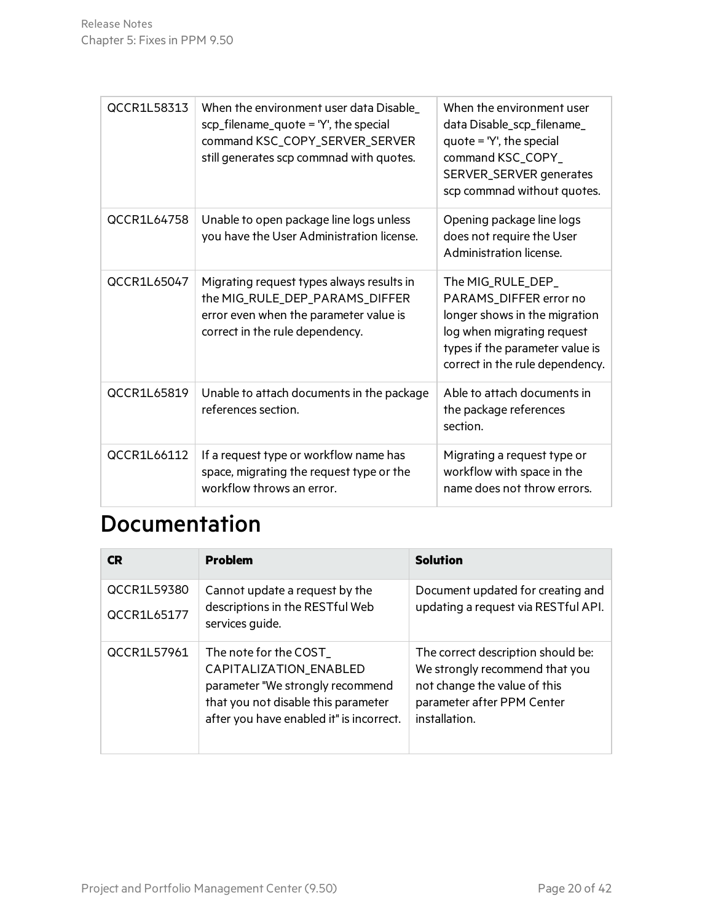| QCCR1L58313 | When the environment user data Disable_<br>$scp_{\text{u}}$ filename_quote = 'Y', the special<br>command KSC_COPY_SERVER_SERVER<br>still generates scp commnad with quotes. | When the environment user<br>data Disable_scp_filename_<br>$quote = 'Y', the special$<br>command KSC_COPY_<br>SERVER_SERVER generates<br>scp commnad without quotes.             |
|-------------|-----------------------------------------------------------------------------------------------------------------------------------------------------------------------------|----------------------------------------------------------------------------------------------------------------------------------------------------------------------------------|
| QCCR1L64758 | Unable to open package line logs unless<br>you have the User Administration license.                                                                                        | Opening package line logs<br>does not require the User<br>Administration license.                                                                                                |
| QCCR1L65047 | Migrating request types always results in<br>the MIG_RULE_DEP_PARAMS_DIFFER<br>error even when the parameter value is<br>correct in the rule dependency.                    | The MIG_RULE_DEP_<br>PARAMS_DIFFER error no<br>longer shows in the migration<br>log when migrating request<br>types if the parameter value is<br>correct in the rule dependency. |
| QCCR1L65819 | Unable to attach documents in the package<br>references section.                                                                                                            | Able to attach documents in<br>the package references<br>section.                                                                                                                |
| QCCR1L66112 | If a request type or workflow name has<br>space, migrating the request type or the<br>workflow throws an error.                                                             | Migrating a request type or<br>workflow with space in the<br>name does not throw errors.                                                                                         |

## **Documentation**

| <b>CR</b>                  | <b>Problem</b>                                                                                                                                                         | <b>Solution</b>                                                                                                                                     |
|----------------------------|------------------------------------------------------------------------------------------------------------------------------------------------------------------------|-----------------------------------------------------------------------------------------------------------------------------------------------------|
| QCCR1L59380<br>QCCR1L65177 | Cannot update a request by the<br>descriptions in the RESTful Web<br>services guide.                                                                                   | Document updated for creating and<br>updating a request via RESTful API.                                                                            |
| QCCR1L57961                | The note for the COST<br>CAPITALIZATION_ENABLED<br>parameter "We strongly recommend<br>that you not disable this parameter<br>after you have enabled it" is incorrect. | The correct description should be:<br>We strongly recommend that you<br>not change the value of this<br>parameter after PPM Center<br>installation. |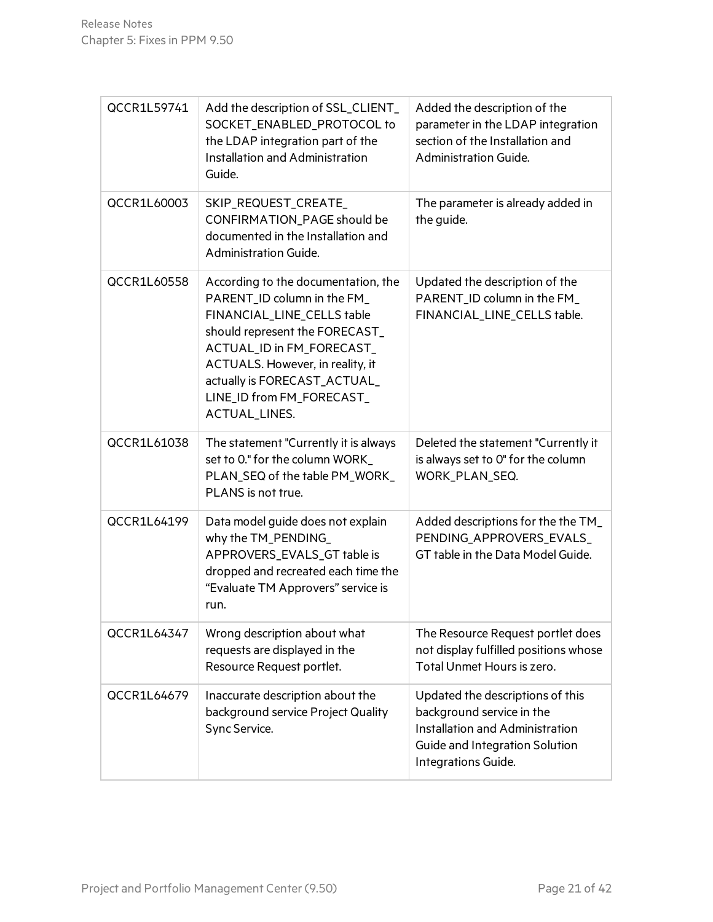| QCCR1L59741 | Add the description of SSL_CLIENT_<br>SOCKET_ENABLED_PROTOCOL to<br>the LDAP integration part of the<br>Installation and Administration<br>Guide.                                                                                                                                 | Added the description of the<br>parameter in the LDAP integration<br>section of the Installation and<br><b>Administration Guide.</b>                      |
|-------------|-----------------------------------------------------------------------------------------------------------------------------------------------------------------------------------------------------------------------------------------------------------------------------------|-----------------------------------------------------------------------------------------------------------------------------------------------------------|
| QCCR1L60003 | SKIP_REQUEST_CREATE_<br>CONFIRMATION_PAGE should be<br>documented in the Installation and<br><b>Administration Guide.</b>                                                                                                                                                         | The parameter is already added in<br>the quide.                                                                                                           |
| QCCR1L60558 | According to the documentation, the<br>PARENT_ID column in the FM_<br>FINANCIAL_LINE_CELLS table<br>should represent the FORECAST_<br>ACTUAL_ID in FM_FORECAST_<br>ACTUALS. However, in reality, it<br>actually is FORECAST_ACTUAL_<br>LINE_ID from FM_FORECAST_<br>ACTUAL_LINES. | Updated the description of the<br>PARENT_ID column in the FM_<br>FINANCIAL_LINE_CELLS table.                                                              |
| QCCR1L61038 | The statement "Currently it is always<br>set to 0." for the column WORK_<br>PLAN_SEQ of the table PM_WORK_<br>PLANS is not true.                                                                                                                                                  | Deleted the statement "Currently it<br>is always set to 0" for the column<br>WORK_PLAN_SEQ.                                                               |
| QCCR1L64199 | Data model guide does not explain<br>why the TM_PENDING_<br>APPROVERS_EVALS_GT table is<br>dropped and recreated each time the<br>"Evaluate TM Approvers" service is<br>run.                                                                                                      | Added descriptions for the the TM_<br>PENDING_APPROVERS_EVALS_<br>GT table in the Data Model Guide.                                                       |
| QCCR1L64347 | Wrong description about what<br>requests are displayed in the<br>Resource Request portlet.                                                                                                                                                                                        | The Resource Request portlet does<br>not display fulfilled positions whose<br>Total Unmet Hours is zero.                                                  |
| QCCR1L64679 | Inaccurate description about the<br>background service Project Quality<br>Sync Service.                                                                                                                                                                                           | Updated the descriptions of this<br>background service in the<br>Installation and Administration<br>Guide and Integration Solution<br>Integrations Guide. |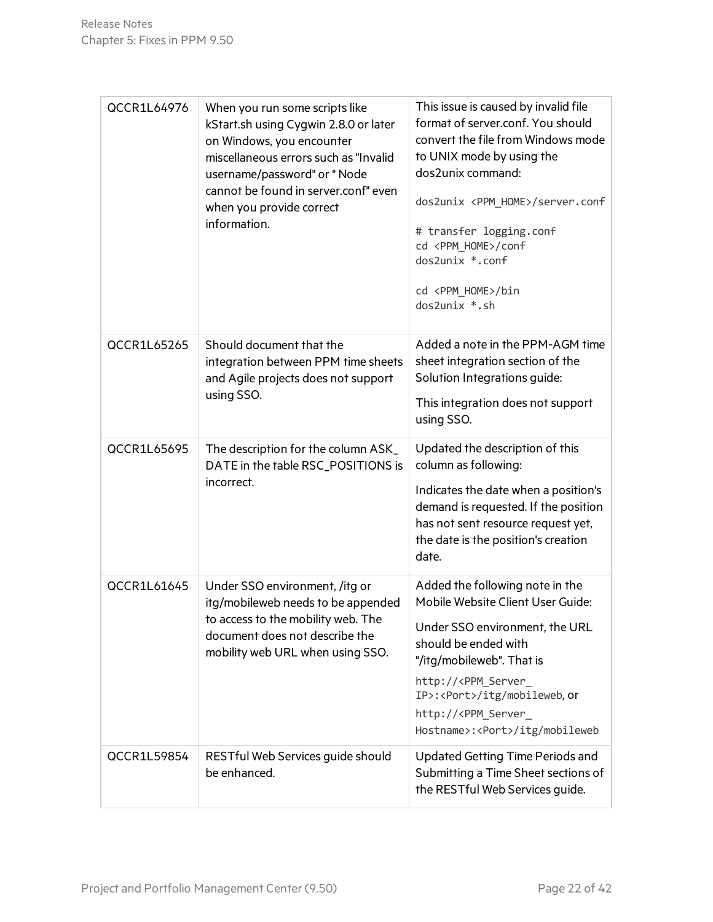| QCCR1L64976 | When you run some scripts like<br>kStart.sh using Cygwin 2.8.0 or later<br>on Windows, you encounter<br>miscellaneous errors such as "Invalid<br>username/password" or " Node<br>cannot be found in server.conf" even<br>when you provide correct<br>information. | This issue is caused by invalid file<br>format of server.conf. You should<br>convert the file from Windows mode<br>to UNIX mode by using the<br>dos2unix command:<br>dos2unix <ppm_home>/server.conf<br/># transfer logging.conf<br/>cd <ppm home="">/conf<br/>dos2unix *.conf<br/>cd <ppm_home>/bin<br/>dos2unix *.sh</ppm_home></ppm></ppm_home> |
|-------------|-------------------------------------------------------------------------------------------------------------------------------------------------------------------------------------------------------------------------------------------------------------------|----------------------------------------------------------------------------------------------------------------------------------------------------------------------------------------------------------------------------------------------------------------------------------------------------------------------------------------------------|
| QCCR1L65265 | Should document that the<br>integration between PPM time sheets<br>and Agile projects does not support<br>using SSO.                                                                                                                                              | Added a note in the PPM-AGM time<br>sheet integration section of the<br>Solution Integrations guide:<br>This integration does not support<br>using SSO.                                                                                                                                                                                            |
| QCCR1L65695 | The description for the column ASK_<br>DATE in the table RSC_POSITIONS is<br>incorrect.                                                                                                                                                                           | Updated the description of this<br>column as following:<br>Indicates the date when a position's<br>demand is requested. If the position<br>has not sent resource request yet,<br>the date is the position's creation<br>date.                                                                                                                      |
| QCCR1L61645 | Under SSO environment, /itg or<br>itg/mobileweb needs to be appended<br>to access to the mobility web. The<br>document does not describe the<br>mobility web URL when using SSO.                                                                                  | Added the following note in the<br>Mobile Website Client User Guide:<br>Under SSO environment, the URL<br>should be ended with<br>"/itg/mobileweb". That is<br>http:// <ppm server<br="">IP&gt;:<port>/itg/mobileweb, or<br/>http://<ppm server<br="">Hostname&gt;:<port>/itg/mobileweb</port></ppm></port></ppm>                                  |
| QCCR1L59854 | RESTful Web Services guide should<br>be enhanced.                                                                                                                                                                                                                 | <b>Updated Getting Time Periods and</b><br>Submitting a Time Sheet sections of<br>the RESTful Web Services guide.                                                                                                                                                                                                                                  |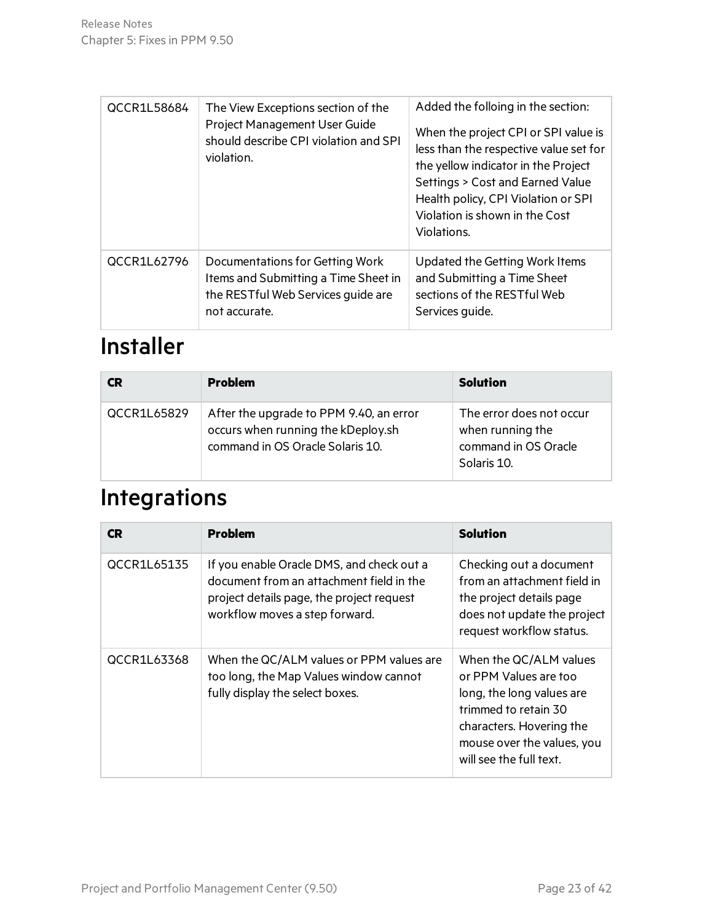| QCCR1L58684 | The View Exceptions section of the<br>Project Management User Guide<br>should describe CPI violation and SPI<br>violation.     | Added the folloing in the section:<br>When the project CPI or SPI value is<br>less than the respective value set for<br>the yellow indicator in the Project<br>Settings > Cost and Earned Value<br>Health policy, CPI Violation or SPI<br>Violation is shown in the Cost<br>Violations. |
|-------------|--------------------------------------------------------------------------------------------------------------------------------|-----------------------------------------------------------------------------------------------------------------------------------------------------------------------------------------------------------------------------------------------------------------------------------------|
| QCCR1L62796 | Documentations for Getting Work<br>Items and Submitting a Time Sheet in<br>the RESTful Web Services guide are<br>not accurate. | Updated the Getting Work Items<br>and Submitting a Time Sheet<br>sections of the RESTful Web<br>Services guide.                                                                                                                                                                         |

## Installer

| CR          | <b>Problem</b>                                                                                                    | Solution                                                                            |
|-------------|-------------------------------------------------------------------------------------------------------------------|-------------------------------------------------------------------------------------|
| QCCR1L65829 | After the upgrade to PPM 9.40, an error<br>occurs when running the kDeploy.sh<br>command in OS Oracle Solaris 10. | The error does not occur<br>when running the<br>command in OS Oracle<br>Solaris 10. |

## Integrations

| <b>CR</b>   | Problem                                                                                                                                                              | <b>Solution</b>                                                                                                                                                                           |
|-------------|----------------------------------------------------------------------------------------------------------------------------------------------------------------------|-------------------------------------------------------------------------------------------------------------------------------------------------------------------------------------------|
| QCCR1L65135 | If you enable Oracle DMS, and check out a<br>document from an attachment field in the<br>project details page, the project request<br>workflow moves a step forward. | Checking out a document<br>from an attachment field in<br>the project details page<br>does not update the project<br>request workflow status.                                             |
| QCCR1L63368 | When the QC/ALM values or PPM values are<br>too long, the Map Values window cannot<br>fully display the select boxes.                                                | When the QC/ALM values<br>or PPM Values are too<br>long, the long values are<br>trimmed to retain 30<br>characters. Hovering the<br>mouse over the values, you<br>will see the full text. |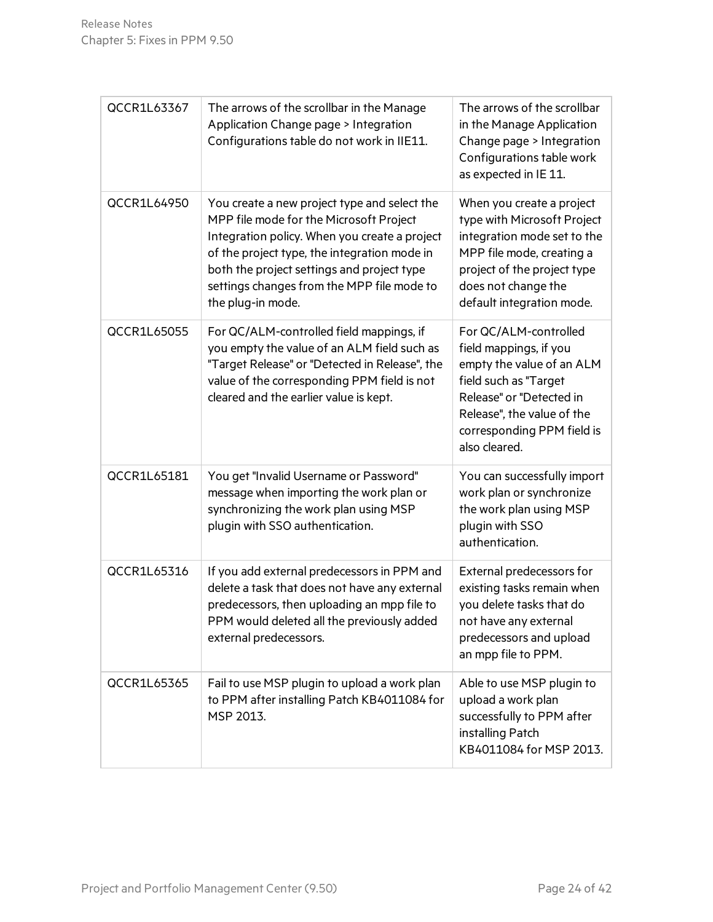| QCCR1L63367 | The arrows of the scrollbar in the Manage<br>Application Change page > Integration<br>Configurations table do not work in IIE11.                                                                                                                                                                          | The arrows of the scrollbar<br>in the Manage Application<br>Change page > Integration<br>Configurations table work<br>as expected in IE 11.                                                                    |
|-------------|-----------------------------------------------------------------------------------------------------------------------------------------------------------------------------------------------------------------------------------------------------------------------------------------------------------|----------------------------------------------------------------------------------------------------------------------------------------------------------------------------------------------------------------|
| QCCR1L64950 | You create a new project type and select the<br>MPP file mode for the Microsoft Project<br>Integration policy. When you create a project<br>of the project type, the integration mode in<br>both the project settings and project type<br>settings changes from the MPP file mode to<br>the plug-in mode. | When you create a project<br>type with Microsoft Project<br>integration mode set to the<br>MPP file mode, creating a<br>project of the project type<br>does not change the<br>default integration mode.        |
| QCCR1L65055 | For QC/ALM-controlled field mappings, if<br>you empty the value of an ALM field such as<br>"Target Release" or "Detected in Release", the<br>value of the corresponding PPM field is not<br>cleared and the earlier value is kept.                                                                        | For QC/ALM-controlled<br>field mappings, if you<br>empty the value of an ALM<br>field such as "Target<br>Release" or "Detected in<br>Release", the value of the<br>corresponding PPM field is<br>also cleared. |
| QCCR1L65181 | You get "Invalid Username or Password"<br>message when importing the work plan or<br>synchronizing the work plan using MSP<br>plugin with SSO authentication.                                                                                                                                             | You can successfully import<br>work plan or synchronize<br>the work plan using MSP<br>plugin with SSO<br>authentication.                                                                                       |
| QCCR1L65316 | If you add external predecessors in PPM and<br>delete a task that does not have any external<br>predecessors, then uploading an mpp file to<br>PPM would deleted all the previously added<br>external predecessors.                                                                                       | External predecessors for<br>existing tasks remain when<br>you delete tasks that do<br>not have any external<br>predecessors and upload<br>an mpp file to PPM.                                                 |
| QCCR1L65365 | Fail to use MSP plugin to upload a work plan<br>to PPM after installing Patch KB4011084 for<br>MSP 2013.                                                                                                                                                                                                  | Able to use MSP plugin to<br>upload a work plan<br>successfully to PPM after<br>installing Patch<br>KB4011084 for MSP 2013.                                                                                    |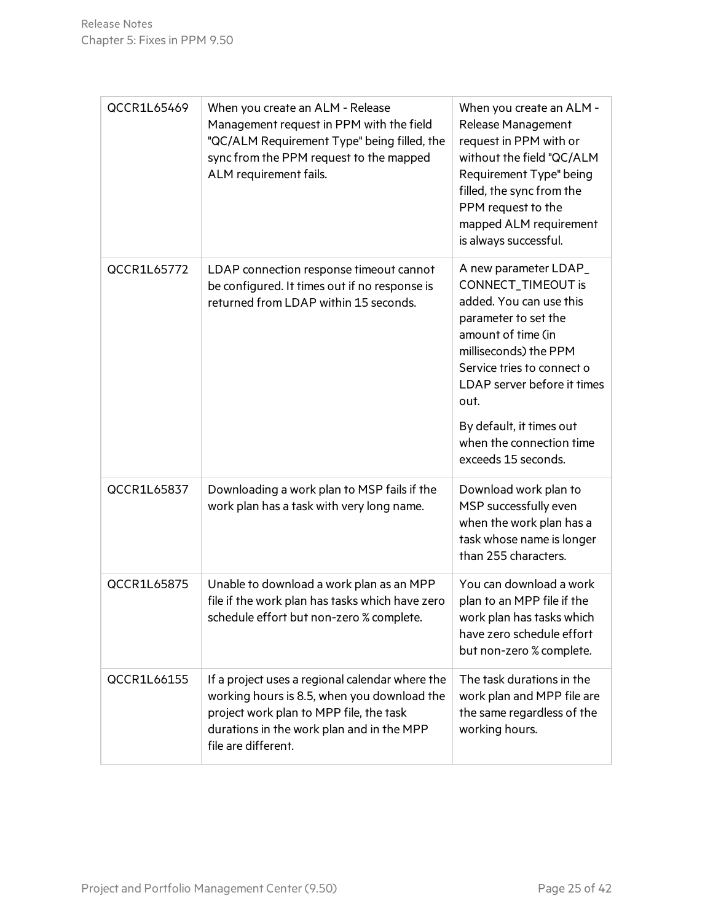| QCCR1L65469 | When you create an ALM - Release<br>Management request in PPM with the field<br>"QC/ALM Requirement Type" being filled, the<br>sync from the PPM request to the mapped<br>ALM requirement fails.              | When you create an ALM -<br>Release Management<br>request in PPM with or<br>without the field "QC/ALM<br>Requirement Type" being<br>filled, the sync from the<br>PPM request to the<br>mapped ALM requirement<br>is always successful. |
|-------------|---------------------------------------------------------------------------------------------------------------------------------------------------------------------------------------------------------------|----------------------------------------------------------------------------------------------------------------------------------------------------------------------------------------------------------------------------------------|
| QCCR1L65772 | LDAP connection response timeout cannot<br>be configured. It times out if no response is<br>returned from LDAP within 15 seconds.                                                                             | A new parameter LDAP_<br>CONNECT_TIMEOUT is<br>added. You can use this<br>parameter to set the<br>amount of time (in<br>milliseconds) the PPM<br>Service tries to connect o<br>LDAP server before it times<br>out.                     |
|             |                                                                                                                                                                                                               | By default, it times out<br>when the connection time<br>exceeds 15 seconds.                                                                                                                                                            |
| QCCR1L65837 | Downloading a work plan to MSP fails if the<br>work plan has a task with very long name.                                                                                                                      | Download work plan to<br>MSP successfully even<br>when the work plan has a<br>task whose name is longer<br>than 255 characters.                                                                                                        |
| QCCR1L65875 | Unable to download a work plan as an MPP<br>file if the work plan has tasks which have zero<br>schedule effort but non-zero % complete.                                                                       | You can download a work<br>plan to an MPP file if the<br>work plan has tasks which<br>have zero schedule effort<br>but non-zero % complete.                                                                                            |
| QCCR1L66155 | If a project uses a regional calendar where the<br>working hours is 8.5, when you download the<br>project work plan to MPP file, the task<br>durations in the work plan and in the MPP<br>file are different. | The task durations in the<br>work plan and MPP file are<br>the same regardless of the<br>working hours.                                                                                                                                |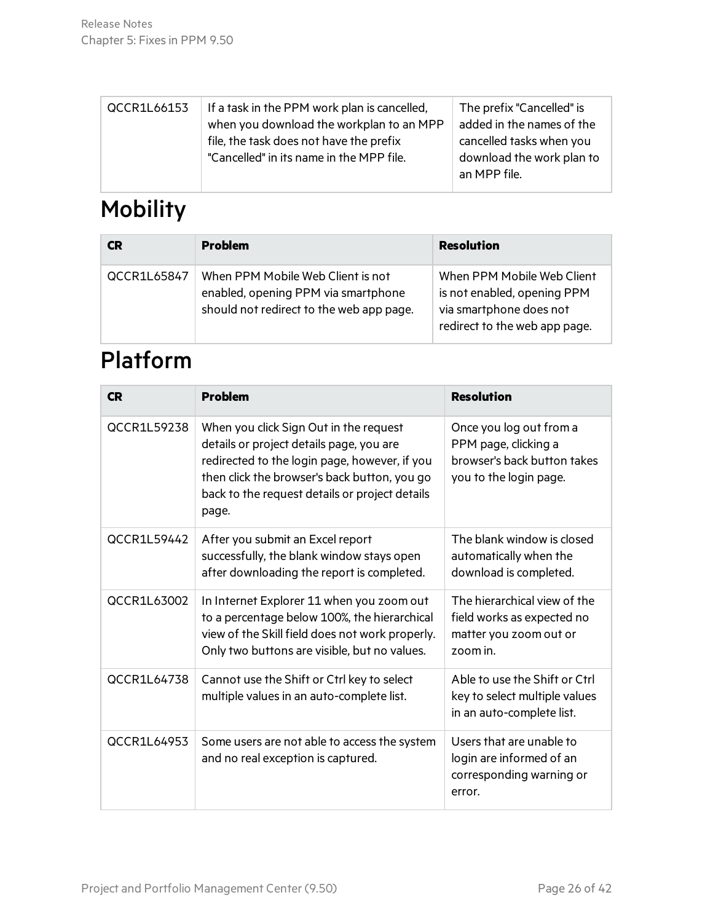| QCCR1L66153 | If a task in the PPM work plan is cancelled,<br>when you download the workplan to an MPP<br>file, the task does not have the prefix<br>"Cancelled" in its name in the MPP file. | The prefix "Cancelled" is<br>added in the names of the<br>cancelled tasks when you<br>download the work plan to<br>an MPP file. |
|-------------|---------------------------------------------------------------------------------------------------------------------------------------------------------------------------------|---------------------------------------------------------------------------------------------------------------------------------|
|             |                                                                                                                                                                                 |                                                                                                                                 |

# Mobility

| <b>CR</b>   | <b>Problem</b>                                                                                                       | <b>Resolution</b>                                                                                                     |
|-------------|----------------------------------------------------------------------------------------------------------------------|-----------------------------------------------------------------------------------------------------------------------|
| QCCR1L65847 | When PPM Mobile Web Client is not<br>enabled, opening PPM via smartphone<br>should not redirect to the web app page. | When PPM Mobile Web Client<br>is not enabled, opening PPM<br>via smartphone does not<br>redirect to the web app page. |

## Platform

| <b>CR</b>   | <b>Problem</b>                                                                                                                                                                                                                                 | <b>Resolution</b>                                                                                        |
|-------------|------------------------------------------------------------------------------------------------------------------------------------------------------------------------------------------------------------------------------------------------|----------------------------------------------------------------------------------------------------------|
| QCCR1L59238 | When you click Sign Out in the request<br>details or project details page, you are<br>redirected to the login page, however, if you<br>then click the browser's back button, you go<br>back to the request details or project details<br>page. | Once you log out from a<br>PPM page, clicking a<br>browser's back button takes<br>you to the login page. |
| QCCR1L59442 | After you submit an Excel report<br>successfully, the blank window stays open<br>after downloading the report is completed.                                                                                                                    | The blank window is closed<br>automatically when the<br>download is completed.                           |
| QCCR1L63002 | In Internet Explorer 11 when you zoom out<br>to a percentage below 100%, the hierarchical<br>view of the Skill field does not work properly.<br>Only two buttons are visible, but no values.                                                   | The hierarchical view of the<br>field works as expected no<br>matter you zoom out or<br>zoom in.         |
| QCCR1L64738 | Cannot use the Shift or Ctrl key to select<br>multiple values in an auto-complete list.                                                                                                                                                        | Able to use the Shift or Ctrl<br>key to select multiple values<br>in an auto-complete list.              |
| QCCR1L64953 | Some users are not able to access the system<br>and no real exception is captured.                                                                                                                                                             | Users that are unable to<br>login are informed of an<br>corresponding warning or<br>error.               |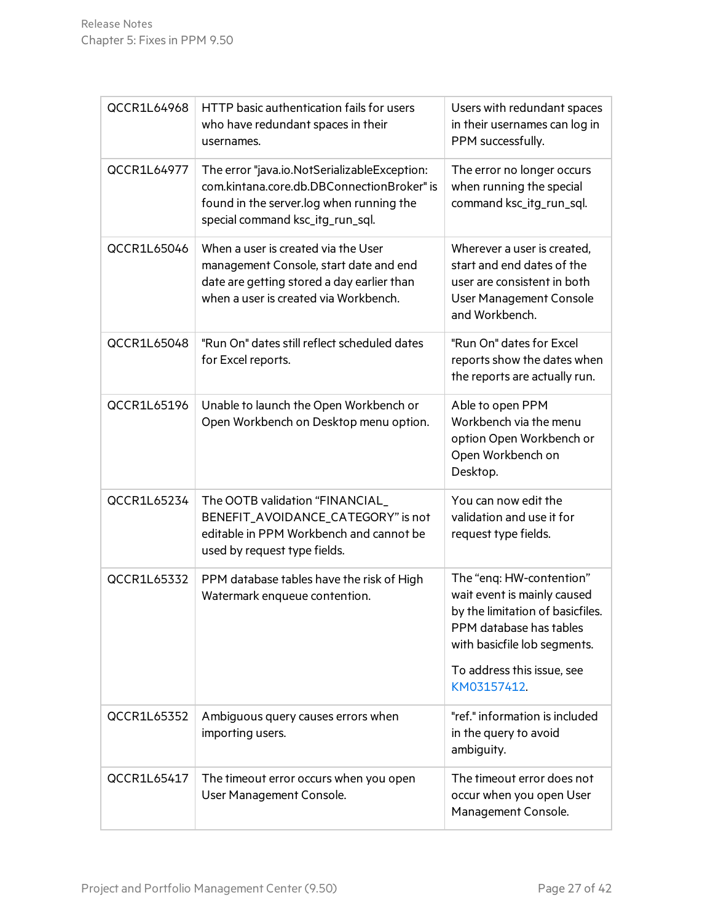| <b>QCCR1L64968</b> | HTTP basic authentication fails for users<br>who have redundant spaces in their<br>usernames.                                                                              | Users with redundant spaces<br>in their usernames can log in<br>PPM successfully.                                                                                                                   |
|--------------------|----------------------------------------------------------------------------------------------------------------------------------------------------------------------------|-----------------------------------------------------------------------------------------------------------------------------------------------------------------------------------------------------|
| QCCR1L64977        | The error "java.io.NotSerializableException:<br>com.kintana.core.db.DBConnectionBroker" is<br>found in the server.log when running the<br>special command ksc_itg_run_sql. | The error no longer occurs<br>when running the special<br>command ksc_itg_run_sql.                                                                                                                  |
| QCCR1L65046        | When a user is created via the User<br>management Console, start date and end<br>date are getting stored a day earlier than<br>when a user is created via Workbench.       | Wherever a user is created,<br>start and end dates of the<br>user are consistent in both<br><b>User Management Console</b><br>and Workbench.                                                        |
| QCCR1L65048        | "Run On" dates still reflect scheduled dates<br>for Excel reports.                                                                                                         | "Run On" dates for Excel<br>reports show the dates when<br>the reports are actually run.                                                                                                            |
| QCCR1L65196        | Unable to launch the Open Workbench or<br>Open Workbench on Desktop menu option.                                                                                           | Able to open PPM<br>Workbench via the menu<br>option Open Workbench or<br>Open Workbench on<br>Desktop.                                                                                             |
| QCCR1L65234        | The OOTB validation "FINANCIAL<br>BENEFIT_AVOIDANCE_CATEGORY" is not<br>editable in PPM Workbench and cannot be<br>used by request type fields.                            | You can now edit the<br>validation and use it for<br>request type fields.                                                                                                                           |
| QCCR1L65332        | PPM database tables have the risk of High<br>Watermark enqueue contention.                                                                                                 | The "enq: HW-contention"<br>wait event is mainly caused<br>by the limitation of basicfiles.<br>PPM database has tables<br>with basicfile lob segments.<br>To address this issue, see<br>KM03157412. |
| QCCR1L65352        | Ambiguous query causes errors when<br>importing users.                                                                                                                     | "ref." information is included<br>in the query to avoid<br>ambiguity.                                                                                                                               |
| QCCR1L65417        | The timeout error occurs when you open<br>User Management Console.                                                                                                         | The timeout error does not<br>occur when you open User<br>Management Console.                                                                                                                       |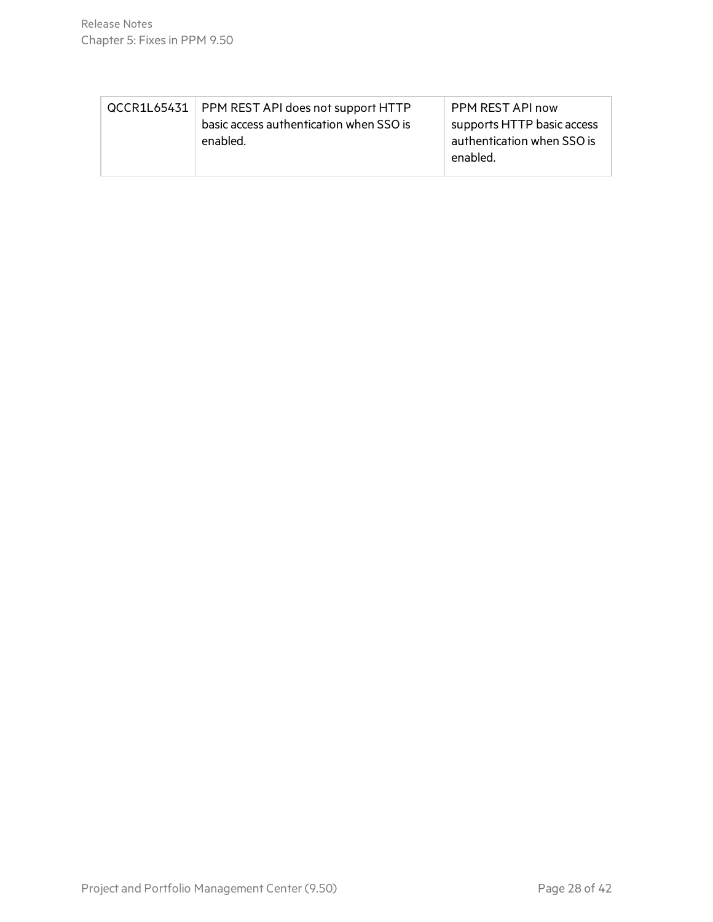| QCCR1L65431   PPM REST API does not support HTTP | PPM REST API now           |
|--------------------------------------------------|----------------------------|
| basic access authentication when SSO is          | supports HTTP basic access |
| enabled.                                         | authentication when SSO is |
|                                                  | enabled.                   |
|                                                  |                            |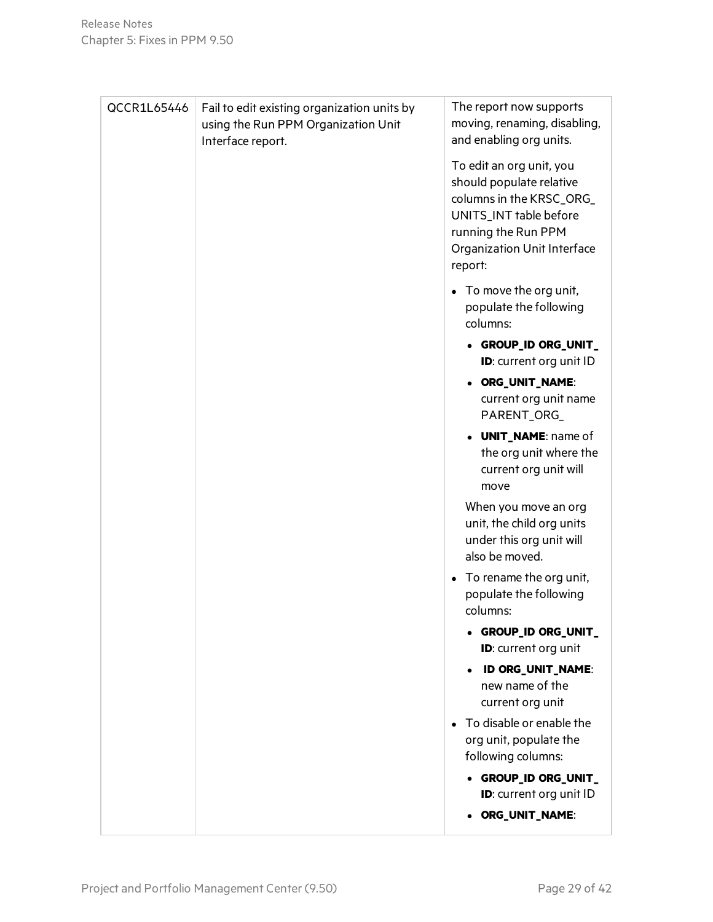| QCCR1L65446 | Fail to edit existing organization units by<br>using the Run PPM Organization Unit<br>Interface report. | The report now supports<br>moving, renaming, disabling,<br>and enabling org units.                                                                                          |
|-------------|---------------------------------------------------------------------------------------------------------|-----------------------------------------------------------------------------------------------------------------------------------------------------------------------------|
|             |                                                                                                         | To edit an org unit, you<br>should populate relative<br>columns in the KRSC_ORG_<br>UNITS_INT table before<br>running the Run PPM<br>Organization Unit Interface<br>report: |
|             |                                                                                                         | • To move the org unit,<br>populate the following<br>columns:                                                                                                               |
|             |                                                                                                         | • GROUP_ID ORG_UNIT_<br>ID: current org unit ID                                                                                                                             |
|             |                                                                                                         | • ORG_UNIT_NAME:<br>current org unit name<br>PARENT_ORG_                                                                                                                    |
|             |                                                                                                         | • UNIT_NAME: name of<br>the org unit where the<br>current org unit will<br>move                                                                                             |
|             |                                                                                                         | When you move an org<br>unit, the child org units<br>under this org unit will<br>also be moved.                                                                             |
|             |                                                                                                         | • To rename the org unit,<br>populate the following<br>columns:                                                                                                             |
|             |                                                                                                         | • GROUP_ID ORG_UNIT_<br>ID: current org unit                                                                                                                                |
|             |                                                                                                         | ID ORG_UNIT_NAME:<br>new name of the<br>current org unit                                                                                                                    |
|             |                                                                                                         | To disable or enable the<br>org unit, populate the<br>following columns:                                                                                                    |
|             |                                                                                                         | • GROUP_ID ORG_UNIT_<br>ID: current org unit ID                                                                                                                             |
|             |                                                                                                         | • ORG_UNIT_NAME:                                                                                                                                                            |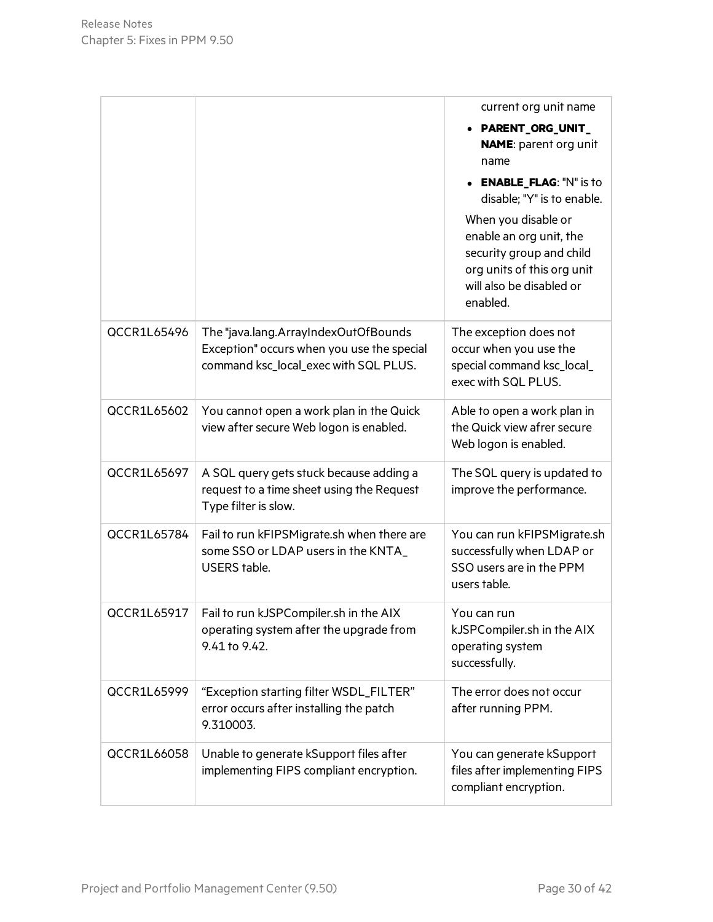|             |                                                                                                                             | current org unit name<br>• PARENT_ORG_UNIT_<br>NAME: parent org unit<br>name<br>• ENABLE_FLAG: "N" is to<br>disable; "Y" is to enable.<br>When you disable or<br>enable an org unit, the<br>security group and child<br>org units of this org unit<br>will also be disabled or<br>enabled. |
|-------------|-----------------------------------------------------------------------------------------------------------------------------|--------------------------------------------------------------------------------------------------------------------------------------------------------------------------------------------------------------------------------------------------------------------------------------------|
| QCCR1L65496 | The "java.lang.ArrayIndexOutOfBounds<br>Exception" occurs when you use the special<br>command ksc_local_exec with SQL PLUS. | The exception does not<br>occur when you use the<br>special command ksc_local_<br>exec with SQL PLUS.                                                                                                                                                                                      |
| QCCR1L65602 | You cannot open a work plan in the Quick<br>view after secure Web logon is enabled.                                         | Able to open a work plan in<br>the Quick view afrer secure<br>Web logon is enabled.                                                                                                                                                                                                        |
| QCCR1L65697 | A SQL query gets stuck because adding a<br>request to a time sheet using the Request<br>Type filter is slow.                | The SQL query is updated to<br>improve the performance.                                                                                                                                                                                                                                    |
| QCCR1L65784 | Fail to run kFIPSMigrate.sh when there are<br>some SSO or LDAP users in the KNTA_<br><b>USERS</b> table.                    | You can run kFIPSMigrate.sh<br>successfully when LDAP or<br>SSO users are in the PPM<br>users table.                                                                                                                                                                                       |
| QCCR1L65917 | Fail to run kJSPCompiler.sh in the AIX<br>operating system after the upgrade from<br>9.41 to 9.42.                          | You can run<br>kJSPCompiler.sh in the AIX<br>operating system<br>successfully.                                                                                                                                                                                                             |
| QCCR1L65999 | "Exception starting filter WSDL_FILTER"<br>error occurs after installing the patch<br>9.310003.                             | The error does not occur<br>after running PPM.                                                                                                                                                                                                                                             |
| QCCR1L66058 | Unable to generate kSupport files after<br>implementing FIPS compliant encryption.                                          | You can generate kSupport<br>files after implementing FIPS<br>compliant encryption.                                                                                                                                                                                                        |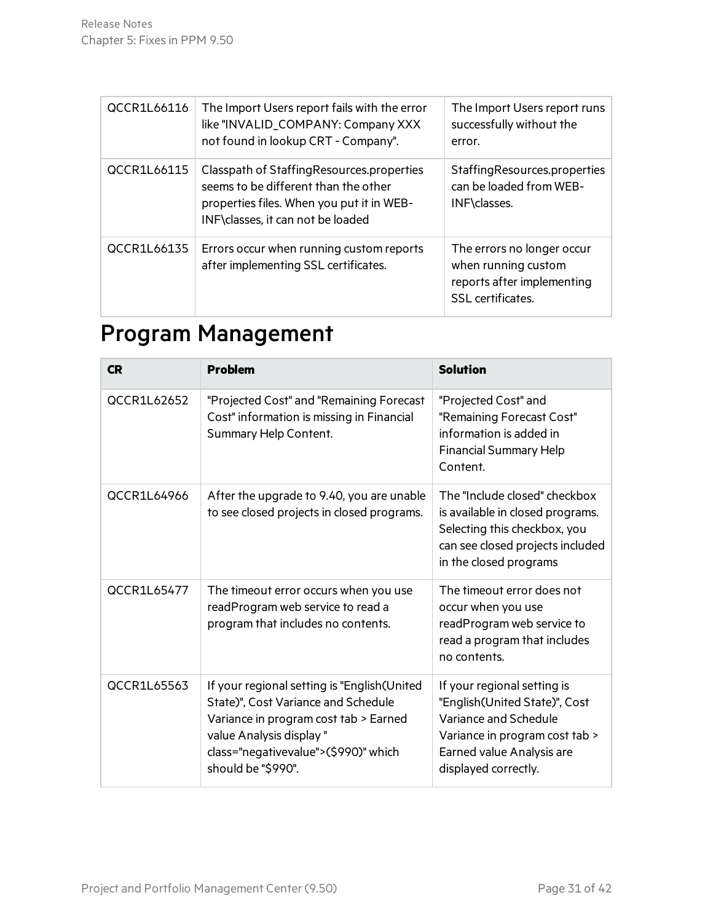| QCCR1L66116 | The Import Users report fails with the error<br>like "INVALID_COMPANY: Company XXX<br>not found in lookup CRT - Company".                                             | The Import Users report runs<br>successfully without the<br>error.                                   |
|-------------|-----------------------------------------------------------------------------------------------------------------------------------------------------------------------|------------------------------------------------------------------------------------------------------|
| QCCR1L66115 | Classpath of Staffing Resources. properties<br>seems to be different than the other<br>properties files. When you put it in WEB-<br>INF\classes, it can not be loaded | StaffingResources.properties<br>can be loaded from WEB-<br>INF\classes.                              |
| QCCR1L66135 | Errors occur when running custom reports<br>after implementing SSL certificates.                                                                                      | The errors no longer occur<br>when running custom<br>reports after implementing<br>SSL certificates. |

# Program Management

| <b>CR</b>   | <b>Problem</b>                                                                                                                                                                                                       | <b>Solution</b>                                                                                                                                                              |
|-------------|----------------------------------------------------------------------------------------------------------------------------------------------------------------------------------------------------------------------|------------------------------------------------------------------------------------------------------------------------------------------------------------------------------|
| QCCR1L62652 | "Projected Cost" and "Remaining Forecast<br>Cost" information is missing in Financial<br>Summary Help Content.                                                                                                       | "Projected Cost" and<br>"Remaining Forecast Cost"<br>information is added in<br><b>Financial Summary Help</b><br>Content.                                                    |
| QCCR1L64966 | After the upgrade to 9.40, you are unable<br>to see closed projects in closed programs.                                                                                                                              | The "Include closed" checkbox<br>is available in closed programs.<br>Selecting this checkbox, you<br>can see closed projects included<br>in the closed programs              |
| QCCR1L65477 | The timeout error occurs when you use<br>readProgram web service to read a<br>program that includes no contents.                                                                                                     | The timeout error does not<br>occur when you use<br>readProgram web service to<br>read a program that includes<br>no contents.                                               |
| QCCR1L65563 | If your regional setting is "English(United<br>State)", Cost Variance and Schedule<br>Variance in program cost tab > Earned<br>value Analysis display"<br>class="negativevalue">(\$990)" which<br>should be "\$990". | If your regional setting is<br>"English(United State)", Cost<br>Variance and Schedule<br>Variance in program cost tab ><br>Earned value Analysis are<br>displayed correctly. |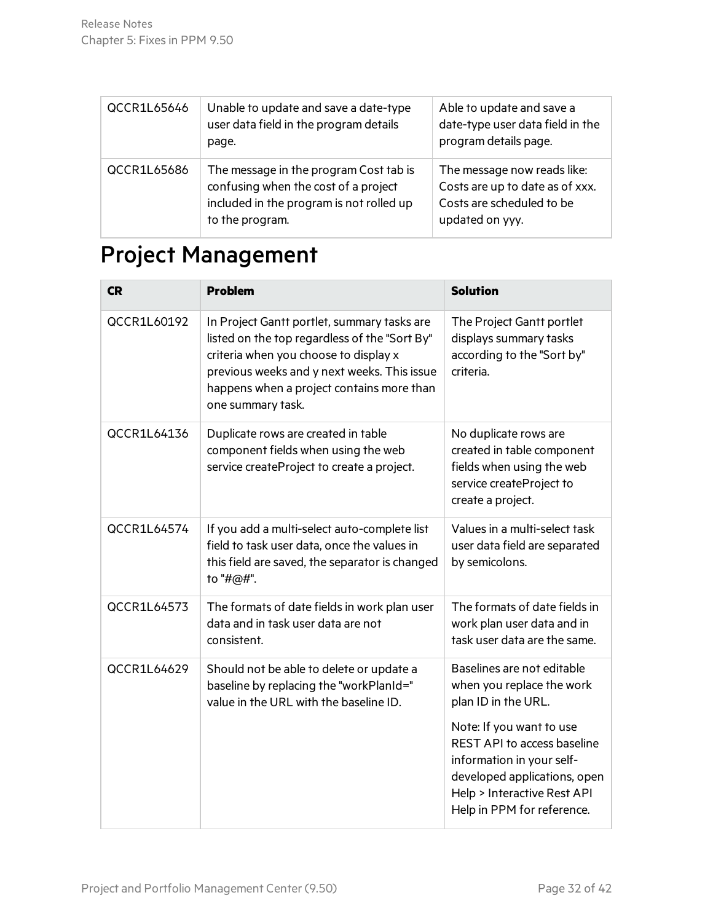| QCCR1L65646 | Unable to update and save a date-type<br>user data field in the program details<br>page.                                                      | Able to update and save a<br>date-type user data field in the<br>program details page.                         |
|-------------|-----------------------------------------------------------------------------------------------------------------------------------------------|----------------------------------------------------------------------------------------------------------------|
| QCCR1L65686 | The message in the program Cost tab is<br>confusing when the cost of a project<br>included in the program is not rolled up<br>to the program. | The message now reads like:<br>Costs are up to date as of xxx.<br>Costs are scheduled to be<br>updated on yyy. |

## Project Management

| <b>CR</b>   | <b>Problem</b>                                                                                                                                                                                                                                         | <b>Solution</b>                                                                                                                                                                                                                                                     |
|-------------|--------------------------------------------------------------------------------------------------------------------------------------------------------------------------------------------------------------------------------------------------------|---------------------------------------------------------------------------------------------------------------------------------------------------------------------------------------------------------------------------------------------------------------------|
| QCCR1L60192 | In Project Gantt portlet, summary tasks are<br>listed on the top regardless of the "Sort By"<br>criteria when you choose to display x<br>previous weeks and y next weeks. This issue<br>happens when a project contains more than<br>one summary task. | The Project Gantt portlet<br>displays summary tasks<br>according to the "Sort by"<br>criteria.                                                                                                                                                                      |
| QCCR1L64136 | Duplicate rows are created in table<br>component fields when using the web<br>service createProject to create a project.                                                                                                                               | No duplicate rows are<br>created in table component<br>fields when using the web<br>service createProject to<br>create a project.                                                                                                                                   |
| QCCR1L64574 | If you add a multi-select auto-complete list<br>field to task user data, once the values in<br>this field are saved, the separator is changed<br>to "#@#".                                                                                             | Values in a multi-select task<br>user data field are separated<br>by semicolons.                                                                                                                                                                                    |
| QCCR1L64573 | The formats of date fields in work plan user<br>data and in task user data are not<br>consistent.                                                                                                                                                      | The formats of date fields in<br>work plan user data and in<br>task user data are the same.                                                                                                                                                                         |
| QCCR1L64629 | Should not be able to delete or update a<br>baseline by replacing the "workPlanId="<br>value in the URL with the baseline ID.                                                                                                                          | Baselines are not editable<br>when you replace the work<br>plan ID in the URL.<br>Note: If you want to use<br>REST API to access baseline<br>information in your self-<br>developed applications, open<br>Help > Interactive Rest API<br>Help in PPM for reference. |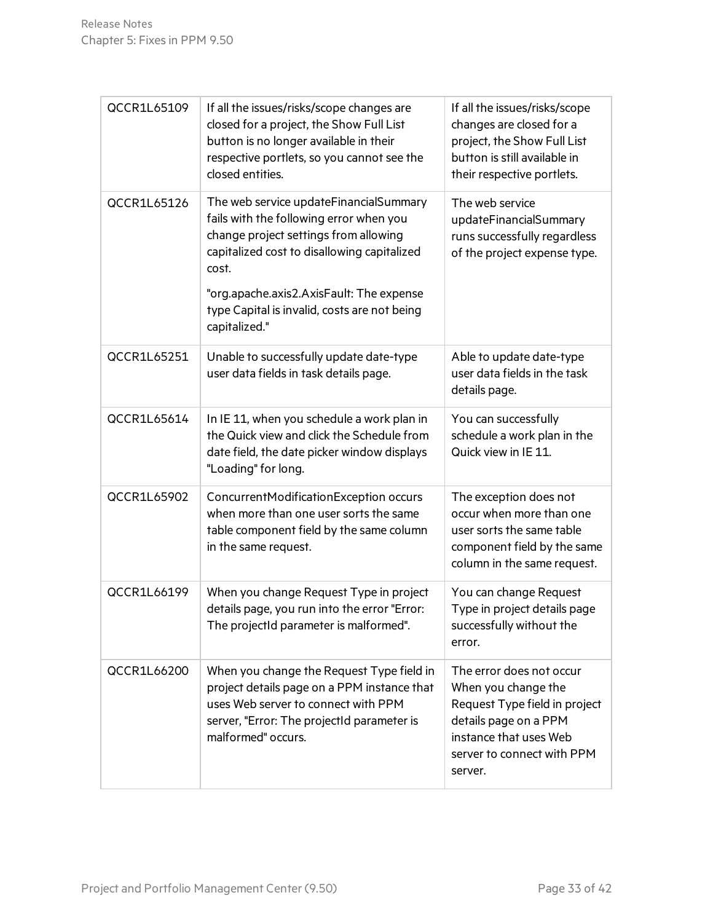| QCCR1L65109 | If all the issues/risks/scope changes are<br>closed for a project, the Show Full List<br>button is no longer available in their<br>respective portlets, so you cannot see the<br>closed entities.                                                                                               | If all the issues/risks/scope<br>changes are closed for a<br>project, the Show Full List<br>button is still available in<br>their respective portlets.                       |
|-------------|-------------------------------------------------------------------------------------------------------------------------------------------------------------------------------------------------------------------------------------------------------------------------------------------------|------------------------------------------------------------------------------------------------------------------------------------------------------------------------------|
| QCCR1L65126 | The web service updateFinancialSummary<br>fails with the following error when you<br>change project settings from allowing<br>capitalized cost to disallowing capitalized<br>cost.<br>"org.apache.axis2.AxisFault: The expense<br>type Capital is invalid, costs are not being<br>capitalized." | The web service<br>updateFinancialSummary<br>runs successfully regardless<br>of the project expense type.                                                                    |
| QCCR1L65251 | Unable to successfully update date-type<br>user data fields in task details page.                                                                                                                                                                                                               | Able to update date-type<br>user data fields in the task<br>details page.                                                                                                    |
| QCCR1L65614 | In IE 11, when you schedule a work plan in<br>the Quick view and click the Schedule from<br>date field, the date picker window displays<br>"Loading" for long.                                                                                                                                  | You can successfully<br>schedule a work plan in the<br>Quick view in IE 11.                                                                                                  |
| QCCR1L65902 | ConcurrentModificationException occurs<br>when more than one user sorts the same<br>table component field by the same column<br>in the same request.                                                                                                                                            | The exception does not<br>occur when more than one<br>user sorts the same table<br>component field by the same<br>column in the same request.                                |
| QCCR1L66199 | When you change Request Type in project<br>details page, you run into the error "Error:<br>The projectId parameter is malformed".                                                                                                                                                               | You can change Request<br>Type in project details page<br>successfully without the<br>error.                                                                                 |
| QCCR1L66200 | When you change the Request Type field in<br>project details page on a PPM instance that<br>uses Web server to connect with PPM<br>server, "Error: The projectId parameter is<br>malformed" occurs.                                                                                             | The error does not occur<br>When you change the<br>Request Type field in project<br>details page on a PPM<br>instance that uses Web<br>server to connect with PPM<br>server. |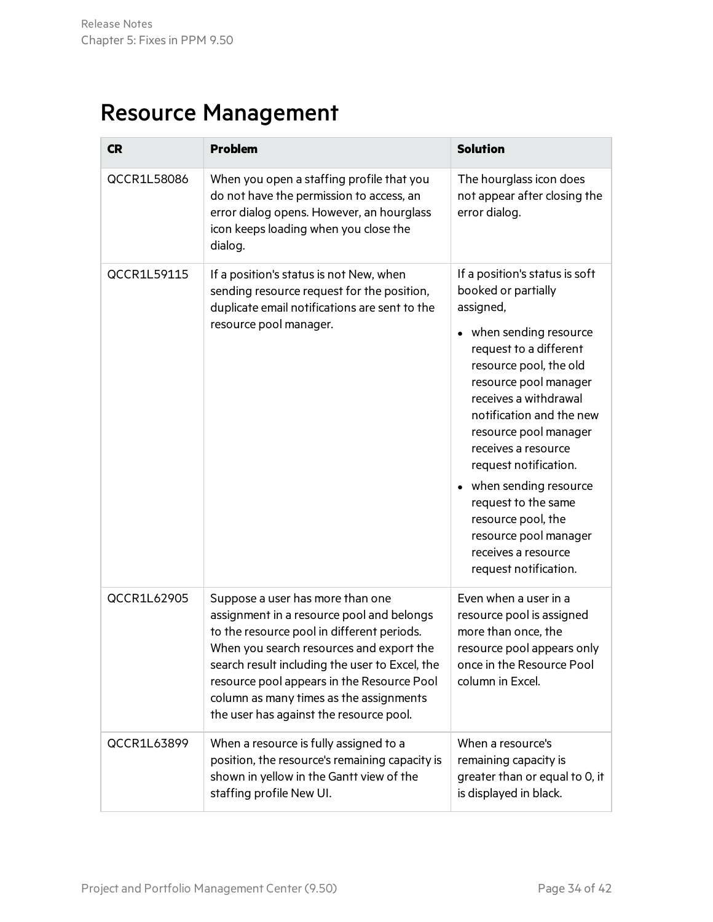# Resource Management

| <b>CR</b>   | <b>Problem</b>                                                                                                                                                                                                                                                                                                                                                | <b>Solution</b>                                                                                                                                                                                                                                                                                                                                                                                                                                         |
|-------------|---------------------------------------------------------------------------------------------------------------------------------------------------------------------------------------------------------------------------------------------------------------------------------------------------------------------------------------------------------------|---------------------------------------------------------------------------------------------------------------------------------------------------------------------------------------------------------------------------------------------------------------------------------------------------------------------------------------------------------------------------------------------------------------------------------------------------------|
| QCCR1L58086 | When you open a staffing profile that you<br>do not have the permission to access, an<br>error dialog opens. However, an hourglass<br>icon keeps loading when you close the<br>dialog.                                                                                                                                                                        | The hourglass icon does<br>not appear after closing the<br>error dialog.                                                                                                                                                                                                                                                                                                                                                                                |
| QCCR1L59115 | If a position's status is not New, when<br>sending resource request for the position,<br>duplicate email notifications are sent to the<br>resource pool manager.                                                                                                                                                                                              | If a position's status is soft<br>booked or partially<br>assigned,<br>when sending resource<br>request to a different<br>resource pool, the old<br>resource pool manager<br>receives a withdrawal<br>notification and the new<br>resource pool manager<br>receives a resource<br>request notification.<br>• when sending resource<br>request to the same<br>resource pool, the<br>resource pool manager<br>receives a resource<br>request notification. |
| QCCR1L62905 | Suppose a user has more than one<br>assignment in a resource pool and belongs<br>to the resource pool in different periods.<br>When you search resources and export the<br>search result including the user to Excel, the<br>resource pool appears in the Resource Pool<br>column as many times as the assignments<br>the user has against the resource pool. | Even when a user in a<br>resource pool is assigned<br>more than once, the<br>resource pool appears only<br>once in the Resource Pool<br>column in Excel.                                                                                                                                                                                                                                                                                                |
| QCCR1L63899 | When a resource is fully assigned to a<br>position, the resource's remaining capacity is<br>shown in yellow in the Gantt view of the<br>staffing profile New UI.                                                                                                                                                                                              | When a resource's<br>remaining capacity is<br>greater than or equal to 0, it<br>is displayed in black.                                                                                                                                                                                                                                                                                                                                                  |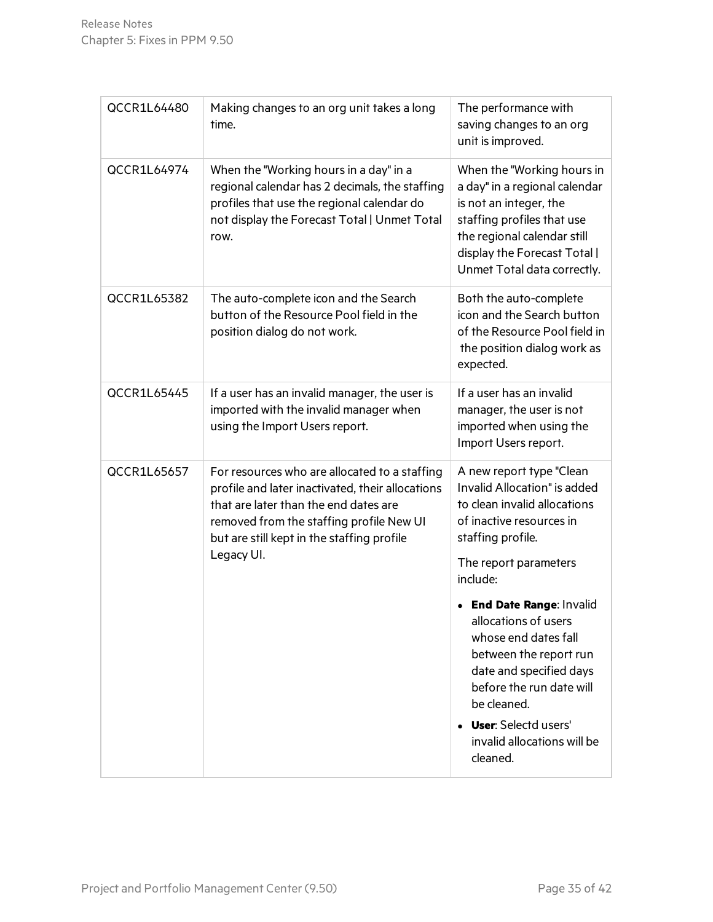| QCCR1L64480 | Making changes to an org unit takes a long<br>time.                                                                                                                                                                                                | The performance with<br>saving changes to an org<br>unit is improved.                                                                                                                                                                                            |
|-------------|----------------------------------------------------------------------------------------------------------------------------------------------------------------------------------------------------------------------------------------------------|------------------------------------------------------------------------------------------------------------------------------------------------------------------------------------------------------------------------------------------------------------------|
| QCCR1L64974 | When the "Working hours in a day" in a<br>regional calendar has 2 decimals, the staffing<br>profiles that use the regional calendar do<br>not display the Forecast Total   Unmet Total<br>row.                                                     | When the "Working hours in<br>a day" in a regional calendar<br>is not an integer, the<br>staffing profiles that use<br>the regional calendar still<br>display the Forecast Total  <br>Unmet Total data correctly.                                                |
| QCCR1L65382 | The auto-complete icon and the Search<br>button of the Resource Pool field in the<br>position dialog do not work.                                                                                                                                  | Both the auto-complete<br>icon and the Search button<br>of the Resource Pool field in<br>the position dialog work as<br>expected.                                                                                                                                |
| QCCR1L65445 | If a user has an invalid manager, the user is<br>imported with the invalid manager when<br>using the Import Users report.                                                                                                                          | If a user has an invalid<br>manager, the user is not<br>imported when using the<br>Import Users report.                                                                                                                                                          |
| QCCR1L65657 | For resources who are allocated to a staffing<br>profile and later inactivated, their allocations<br>that are later than the end dates are<br>removed from the staffing profile New UI<br>but are still kept in the staffing profile<br>Legacy UI. | A new report type "Clean<br><b>Invalid Allocation</b> " is added<br>to clean invalid allocations<br>of inactive resources in<br>staffing profile.<br>The report parameters<br>include:                                                                           |
|             |                                                                                                                                                                                                                                                    | · End Date Range: Invalid<br>allocations of users<br>whose end dates fall<br>between the report run<br>date and specified days<br>before the run date will<br>be cleaned.<br><b>User:</b> Selectd users'<br>$\bullet$<br>invalid allocations will be<br>cleaned. |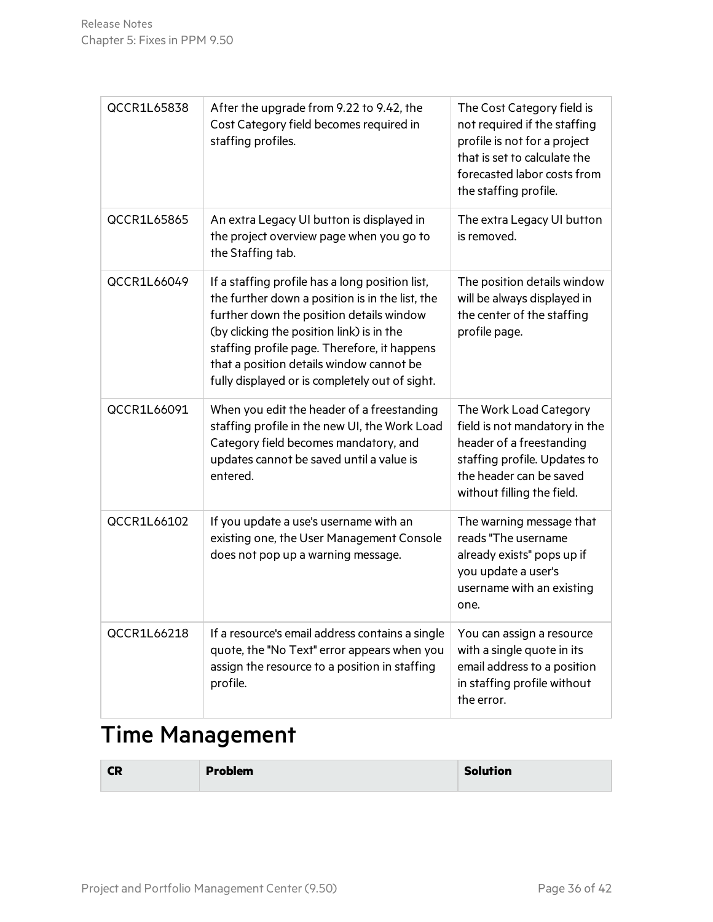| QCCR1L65838 | After the upgrade from 9.22 to 9.42, the<br>Cost Category field becomes required in<br>staffing profiles.                                                                                                                                                                                                                                 | The Cost Category field is<br>not required if the staffing<br>profile is not for a project<br>that is set to calculate the<br>forecasted labor costs from<br>the staffing profile. |
|-------------|-------------------------------------------------------------------------------------------------------------------------------------------------------------------------------------------------------------------------------------------------------------------------------------------------------------------------------------------|------------------------------------------------------------------------------------------------------------------------------------------------------------------------------------|
| QCCR1L65865 | An extra Legacy UI button is displayed in<br>the project overview page when you go to<br>the Staffing tab.                                                                                                                                                                                                                                | The extra Legacy UI button<br>is removed.                                                                                                                                          |
| QCCR1L66049 | If a staffing profile has a long position list,<br>the further down a position is in the list, the<br>further down the position details window<br>(by clicking the position link) is in the<br>staffing profile page. Therefore, it happens<br>that a position details window cannot be<br>fully displayed or is completely out of sight. | The position details window<br>will be always displayed in<br>the center of the staffing<br>profile page.                                                                          |
| QCCR1L66091 | When you edit the header of a freestanding<br>staffing profile in the new UI, the Work Load<br>Category field becomes mandatory, and<br>updates cannot be saved until a value is<br>entered.                                                                                                                                              | The Work Load Category<br>field is not mandatory in the<br>header of a freestanding<br>staffing profile. Updates to<br>the header can be saved<br>without filling the field.       |
| QCCR1L66102 | If you update a use's username with an<br>existing one, the User Management Console<br>does not pop up a warning message.                                                                                                                                                                                                                 | The warning message that<br>reads "The username<br>already exists" pops up if<br>you update a user's<br>username with an existing<br>one.                                          |
| QCCR1L66218 | If a resource's email address contains a single<br>quote, the "No Text" error appears when you<br>assign the resource to a position in staffing<br>profile.                                                                                                                                                                               | You can assign a resource<br>with a single quote in its<br>email address to a position<br>in staffing profile without<br>the error.                                                |

## Time Management

| <b>CR</b> | <b>Problem</b> | <b>Solution</b> |
|-----------|----------------|-----------------|
|-----------|----------------|-----------------|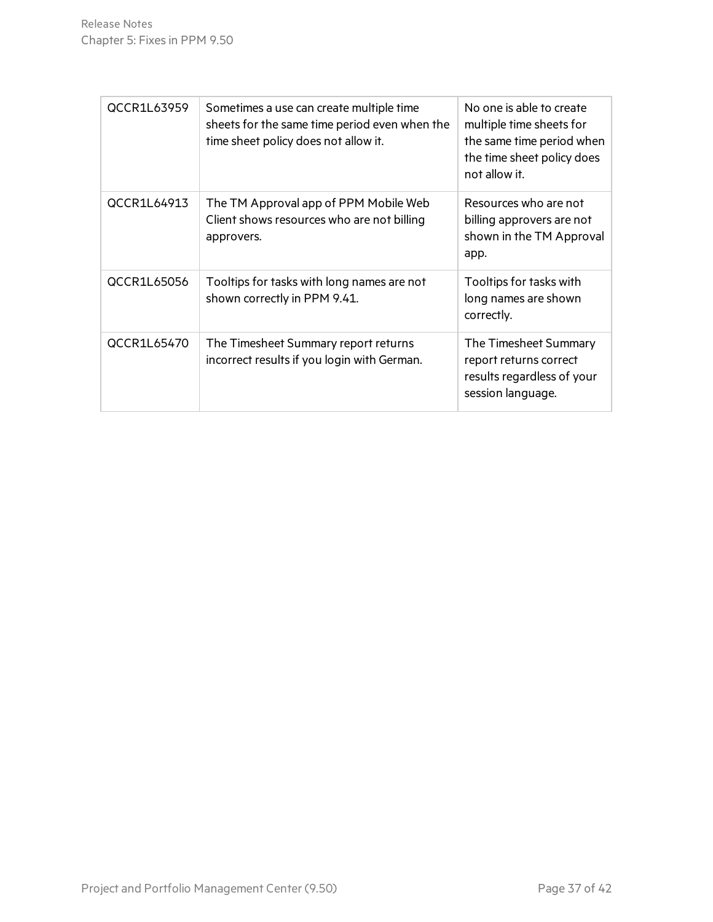| QCCR1L63959 | Sometimes a use can create multiple time<br>sheets for the same time period even when the<br>time sheet policy does not allow it. | No one is able to create<br>multiple time sheets for<br>the same time period when<br>the time sheet policy does |
|-------------|-----------------------------------------------------------------------------------------------------------------------------------|-----------------------------------------------------------------------------------------------------------------|
| QCCR1L64913 | The TM Approval app of PPM Mobile Web<br>Client shows resources who are not billing<br>approvers.                                 | not allow it.<br>Resources who are not<br>billing approvers are not<br>shown in the TM Approval<br>app.         |
| QCCR1L65056 | Tooltips for tasks with long names are not<br>shown correctly in PPM 9.41.                                                        | Tooltips for tasks with<br>long names are shown<br>correctly.                                                   |
| QCCR1L65470 | The Timesheet Summary report returns<br>incorrect results if you login with German.                                               | The Timesheet Summary<br>report returns correct<br>results regardless of your<br>session language.              |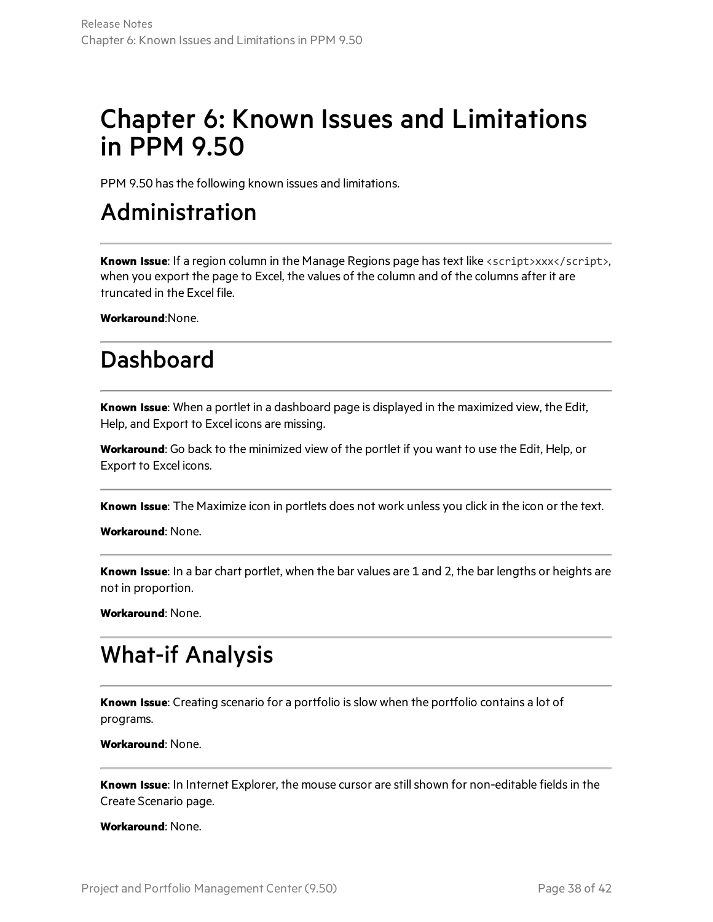## <span id="page-37-0"></span>Chapter 6: Known Issues and Limitations in PPM 9.50

PPM 9.50 has the following known issues and limitations.

### Administration

**Known Issue**: If a region column in the Manage Regions page has text like <script>xxx</script>, when you export the page to Excel, the values of the column and of the columns after it are truncated in the Excel file.

**Workaround**:None.

## Dashboard

**Known Issue**: When a portlet in a dashboard page is displayed in the maximized view, the Edit, Help, and Export to Excel icons are missing.

**Workaround**: Go back to the minimized view of the portlet if you want to use the Edit, Help, or Export to Excel icons.

**Known Issue**: The Maximize icon in portlets does not work unless you click in the icon or the text.

**Workaround**: None.

**Known Issue**: In a bar chart portlet, when the bar values are 1 and 2, the bar lengths or heights are not in proportion.

**Workaround**: None.

## What-if Analysis

**Known Issue**: Creating scenario for a portfolio isslow when the portfolio contains a lot of programs.

**Workaround**: None.

**Known Issue**: In Internet Explorer, the mouse cursor are still shown for non-editable fields in the Create Scenario page.

**Workaround**: None.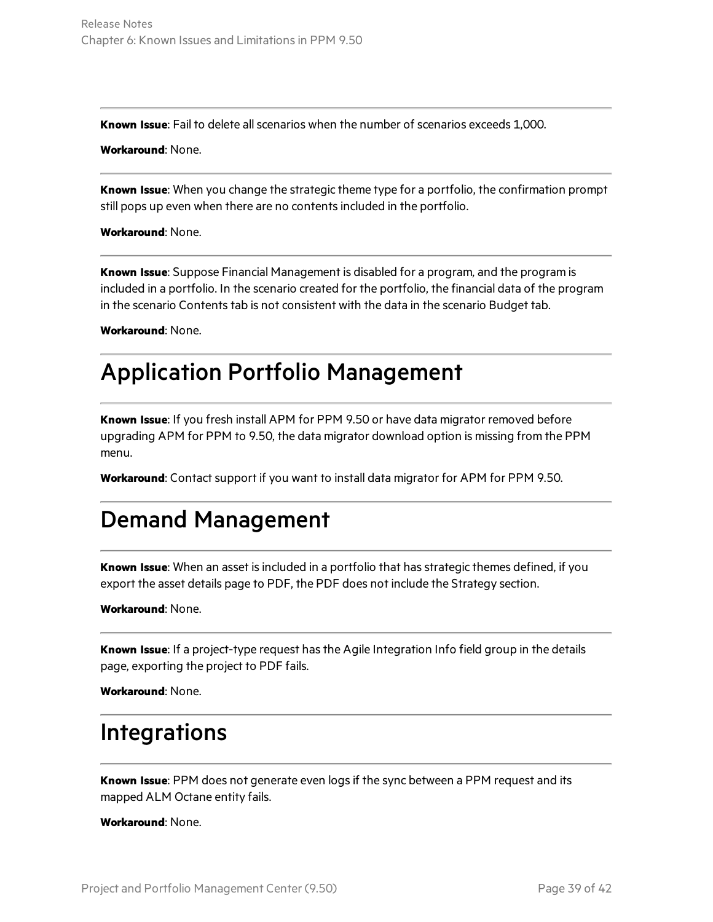**Known Issue:** Fail to delete all scenarios when the number of scenarios exceeds 1,000.

#### **Workaround**: None.

**Known Issue**: When you change the strategic theme type for a portfolio, the confirmation prompt still pops up even when there are no contents included in the portfolio.

**Workaround**: None.

**Known Issue**: Suppose Financial Management is disabled for a program, and the program is included in a portfolio. In the scenario created for the portfolio, the financial data of the program in the scenario Contents tab is not consistent with the data in the scenario Budget tab.

**Workaround**: None.

### Application Portfolio Management

**Known Issue**: If you fresh install APM for PPM 9.50 or have data migrator removed before upgrading APM for PPM to 9.50, the data migrator download option is missing from the PPM menu.

**Workaround:** Contact support if you want to install data migrator for APM for PPM 9.50.

### Demand Management

**Known Issue:** When an asset is included in a portfolio that has strategic themes defined, if you export the asset details page to PDF, the PDF does not include the Strategy section.

**Workaround**: None.

**Known Issue**: If a project-type request has the Agile Integration Info field group in the details page, exporting the project to PDF fails.

**Workaround**: None.

### Integrations

**Known Issue**: PPM does not generate even logsif the sync between a PPM request and its mapped ALM Octane entity fails.

**Workaround**: None.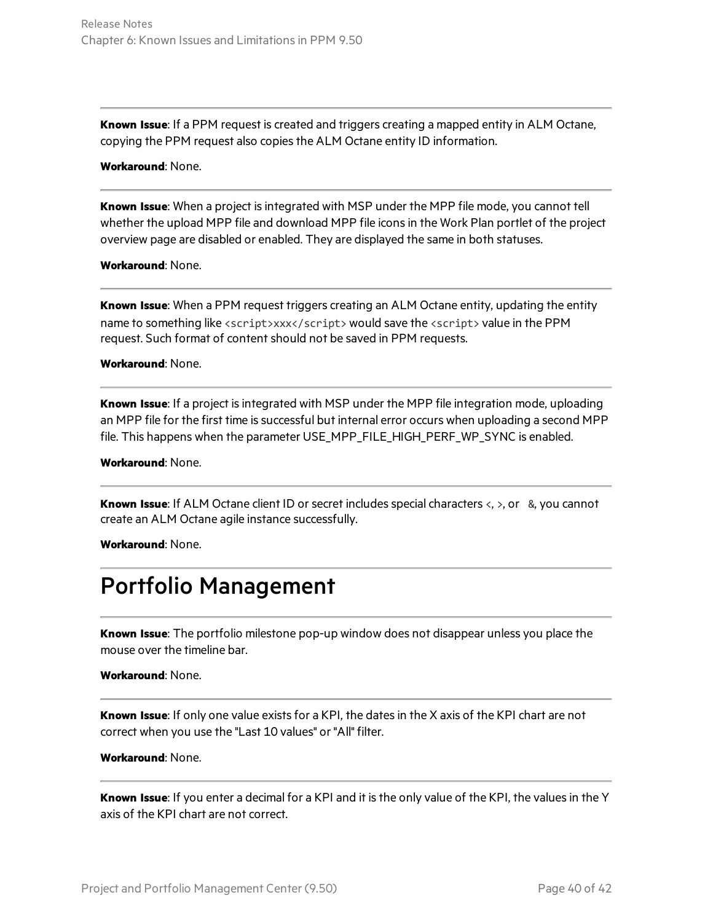**Known Issue**: If a PPM request is created and triggers creating a mapped entity in ALM Octane, copying the PPM request also copies the ALM Octane entity ID information.

#### **Workaround**: None.

**Known Issue**: When a project isintegrated with MSP under the MPP file mode, you cannot tell whether the upload MPP file and download MPP file icons in the Work Plan portlet of the project overview page are disabled or enabled. They are displayed the same in both statuses.

**Workaround**: None.

**Known Issue**: When a PPM request triggers creating an ALM Octane entity, updating the entity name to something like <script>xxx</script> would save the <script> value in the PPM request. Such format of content should not be saved in PPM requests.

#### **Workaround**: None.

**Known Issue**: If a project isintegrated with MSP under the MPP file integration mode, uploading an MPP file for the first time is successful but internal error occurs when uploading a second MPP file. This happens when the parameter USE\_MPP\_FILE\_HIGH\_PERF\_WP\_SYNC is enabled.

**Workaround**: None.

**Known Issue:** If ALM Octane client ID or secret includes special characters  $\langle$ ,  $\rangle$ , or &, you cannot create an ALM Octane agile instance successfully.

**Workaround**: None.

### Portfolio Management

**Known Issue**: The portfolio milestone pop-up window does not disappear unless you place the mouse over the timeline bar.

**Workaround**: None.

**Known Issue**: If only one value existsfor a KPI, the datesin the X axis of the KPI chart are not correct when you use the "Last 10 values" or "All" filter.

#### **Workaround**: None.

**Known Issue**: If you enter a decimal for a KPI and it isthe only value of the KPI, the valuesin the Y axis of the KPI chart are not correct.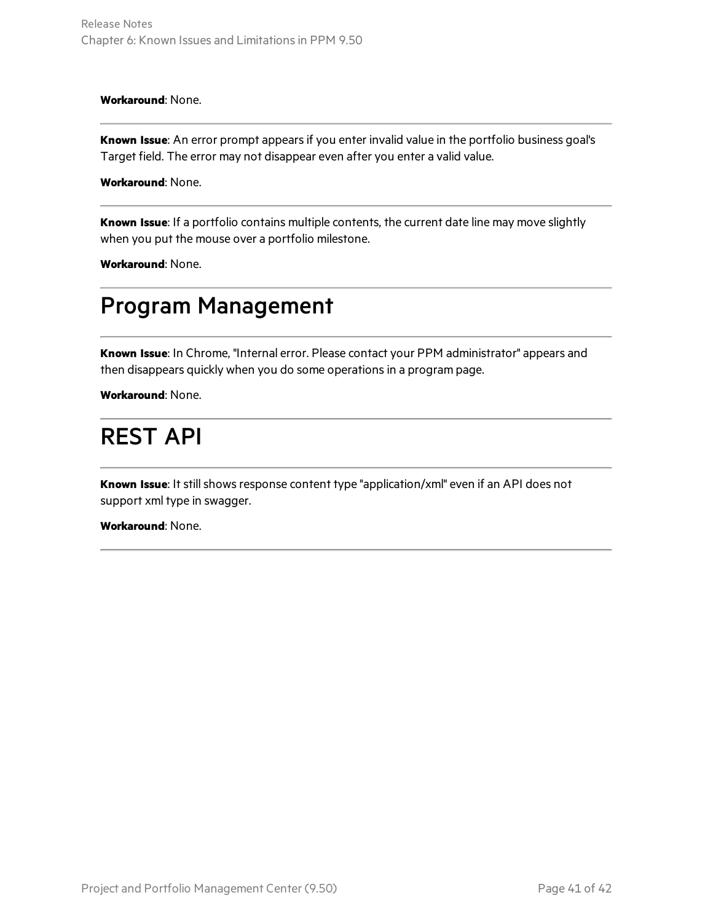#### **Workaround**: None.

**Known Issue**: An error prompt appearsif you enter invalid value in the portfolio business goal's Target field. The error may not disappear even after you enter a valid value.

**Workaround**: None.

**Known Issue**: If a portfolio contains multiple contents, the current date line may move slightly when you put the mouse over a portfolio milestone.

**Workaround**: None.

### Program Management

**Known Issue**: In Chrome, "Internal error. Please contact your PPM administrator" appears and then disappears quickly when you do some operations in a program page.

**Workaround**: None.

## REST API

**Known Issue:** It still shows response content type "application/xml" even if an API does not support xml type in swagger.

**Workaround**: None.